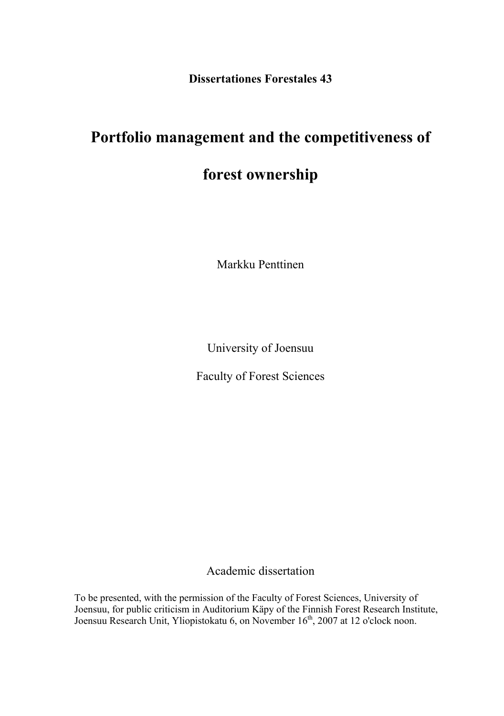**Dissertationes Forestales 43** 

# **Portfolio management and the competitiveness of**

# **forest ownership**

Markku Penttinen

University of Joensuu

Faculty of Forest Sciences

Academic dissertation

To be presented, with the permission of the Faculty of Forest Sciences, University of Joensuu, for public criticism in Auditorium Käpy of the Finnish Forest Research Institute, Joensuu Research Unit, Yliopistokatu 6, on November 16<sup>th</sup>, 2007 at 12 o'clock noon.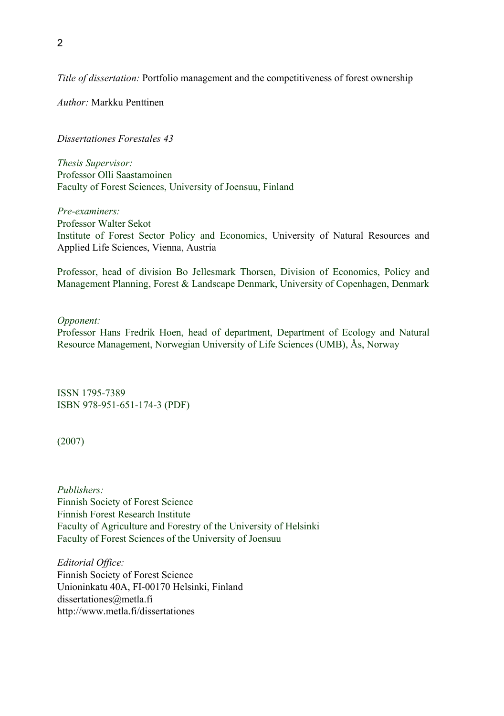*Title of dissertation:* Portfolio management and the competitiveness of forest ownership

*Author:* Markku Penttinen

*Dissertationes Forestales 43* 

*Thesis Supervisor:*  Professor Olli Saastamoinen Faculty of Forest Sciences, University of Joensuu, Finland

*Pre-examiners:*  Professor Walter Sekot Institute of Forest Sector Policy and Economics, University of Natural Resources and Applied Life Sciences, Vienna, Austria

Professor, head of division Bo Jellesmark Thorsen, Division of Economics, Policy and Management Planning, Forest & Landscape Denmark, University of Copenhagen, Denmark

### *Opponent:*

Professor Hans Fredrik Hoen, head of department, Department of Ecology and Natural Resource Management, Norwegian University of Life Sciences (UMB), Ås, Norway

ISSN 1795-7389 ISBN 978-951-651-174-3 (PDF)

(2007)

*Publishers:*  Finnish Society of Forest Science Finnish Forest Research Institute Faculty of Agriculture and Forestry of the University of Helsinki Faculty of Forest Sciences of the University of Joensuu

*Editorial Office:*  Finnish Society of Forest Science Unioninkatu 40A, FI-00170 Helsinki, Finland dissertationes@metla.fi http://www.metla.fi/dissertationes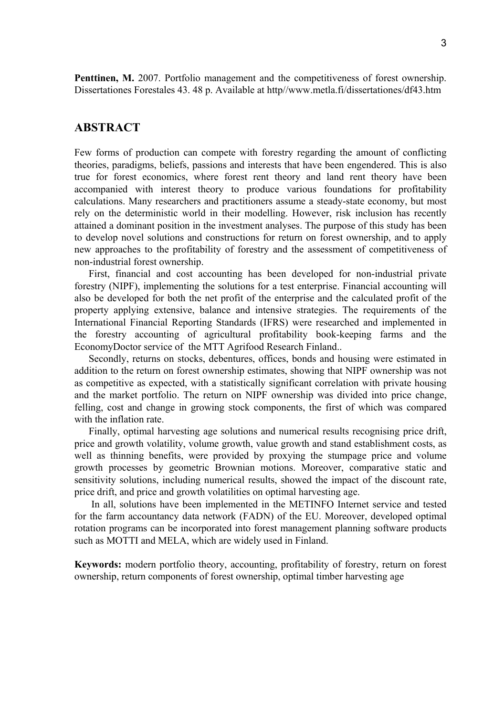**Penttinen, M.** 2007. Portfolio management and the competitiveness of forest ownership. Dissertationes Forestales 43. 48 p. Available at http//www.metla.fi/dissertationes/df43.htm

### **ABSTRACT**

Few forms of production can compete with forestry regarding the amount of conflicting theories, paradigms, beliefs, passions and interests that have been engendered. This is also true for forest economics, where forest rent theory and land rent theory have been accompanied with interest theory to produce various foundations for profitability calculations. Many researchers and practitioners assume a steady-state economy, but most rely on the deterministic world in their modelling. However, risk inclusion has recently attained a dominant position in the investment analyses. The purpose of this study has been to develop novel solutions and constructions for return on forest ownership, and to apply new approaches to the profitability of forestry and the assessment of competitiveness of non-industrial forest ownership.

First, financial and cost accounting has been developed for non-industrial private forestry (NIPF), implementing the solutions for a test enterprise. Financial accounting will also be developed for both the net profit of the enterprise and the calculated profit of the property applying extensive, balance and intensive strategies. The requirements of the International Financial Reporting Standards (IFRS) were researched and implemented in the forestry accounting of agricultural profitability book-keeping farms and the EconomyDoctor service of the MTT Agrifood Research Finland..

Secondly, returns on stocks, debentures, offices, bonds and housing were estimated in addition to the return on forest ownership estimates, showing that NIPF ownership was not as competitive as expected, with a statistically significant correlation with private housing and the market portfolio. The return on NIPF ownership was divided into price change, felling, cost and change in growing stock components, the first of which was compared with the inflation rate.

Finally, optimal harvesting age solutions and numerical results recognising price drift, price and growth volatility, volume growth, value growth and stand establishment costs, as well as thinning benefits, were provided by proxying the stumpage price and volume growth processes by geometric Brownian motions. Moreover, comparative static and sensitivity solutions, including numerical results, showed the impact of the discount rate, price drift, and price and growth volatilities on optimal harvesting age.

 In all, solutions have been implemented in the METINFO Internet service and tested for the farm accountancy data network (FADN) of the EU. Moreover, developed optimal rotation programs can be incorporated into forest management planning software products such as MOTTI and MELA, which are widely used in Finland.

**Keywords:** modern portfolio theory, accounting, profitability of forestry, return on forest ownership, return components of forest ownership, optimal timber harvesting age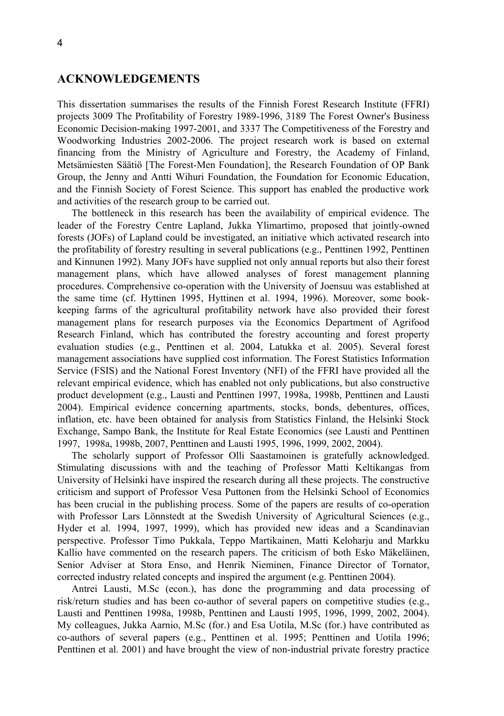### **ACKNOWLEDGEMENTS**

This dissertation summarises the results of the Finnish Forest Research Institute (FFRI) projects 3009 The Profitability of Forestry 1989-1996, 3189 The Forest Owner's Business Economic Decision-making 1997-2001, and 3337 The Competitiveness of the Forestry and Woodworking Industries 2002-2006. The project research work is based on external financing from the Ministry of Agriculture and Forestry, the Academy of Finland, Metsämiesten Säätiö [The Forest-Men Foundation], the Research Foundation of OP Bank Group, the Jenny and Antti Wihuri Foundation, the Foundation for Economic Education, and the Finnish Society of Forest Science. This support has enabled the productive work and activities of the research group to be carried out.

The bottleneck in this research has been the availability of empirical evidence. The leader of the Forestry Centre Lapland, Jukka Ylimartimo, proposed that jointly-owned forests (JOFs) of Lapland could be investigated, an initiative which activated research into the profitability of forestry resulting in several publications (e.g., Penttinen 1992, Penttinen and Kinnunen 1992). Many JOFs have supplied not only annual reports but also their forest management plans, which have allowed analyses of forest management planning procedures. Comprehensive co-operation with the University of Joensuu was established at the same time (cf. Hyttinen 1995, Hyttinen et al. 1994, 1996). Moreover, some bookkeeping farms of the agricultural profitability network have also provided their forest management plans for research purposes via the Economics Department of Agrifood Research Finland, which has contributed the forestry accounting and forest property evaluation studies (e.g., Penttinen et al. 2004, Latukka et al. 2005). Several forest management associations have supplied cost information. The Forest Statistics Information Service (FSIS) and the National Forest Inventory (NFI) of the FFRI have provided all the relevant empirical evidence, which has enabled not only publications, but also constructive product development (e.g., Lausti and Penttinen 1997, 1998a, 1998b, Penttinen and Lausti 2004). Empirical evidence concerning apartments, stocks, bonds, debentures, offices, inflation, etc. have been obtained for analysis from Statistics Finland, the Helsinki Stock Exchange, Sampo Bank, the Institute for Real Estate Economics (see Lausti and Penttinen 1997, 1998a, 1998b, 2007, Penttinen and Lausti 1995, 1996, 1999, 2002, 2004).

The scholarly support of Professor Olli Saastamoinen is gratefully acknowledged. Stimulating discussions with and the teaching of Professor Matti Keltikangas from University of Helsinki have inspired the research during all these projects. The constructive criticism and support of Professor Vesa Puttonen from the Helsinki School of Economics has been crucial in the publishing process. Some of the papers are results of co-operation with Professor Lars Lönnstedt at the Swedish University of Agricultural Sciences (e.g., Hyder et al. 1994, 1997, 1999), which has provided new ideas and a Scandinavian perspective. Professor Timo Pukkala, Teppo Martikainen, Matti Keloharju and Markku Kallio have commented on the research papers. The criticism of both Esko Mäkeläinen, Senior Adviser at Stora Enso, and Henrik Nieminen, Finance Director of Tornator, corrected industry related concepts and inspired the argument (e.g. Penttinen 2004).

Antrei Lausti, M.Sc (econ.), has done the programming and data processing of risk/return studies and has been co-author of several papers on competitive studies (e.g., Lausti and Penttinen 1998a, 1998b, Penttinen and Lausti 1995, 1996, 1999, 2002, 2004). My colleagues, Jukka Aarnio, M.Sc (for.) and Esa Uotila, M.Sc (for.) have contributed as co-authors of several papers (e.g., Penttinen et al. 1995; Penttinen and Uotila 1996; Penttinen et al. 2001) and have brought the view of non-industrial private forestry practice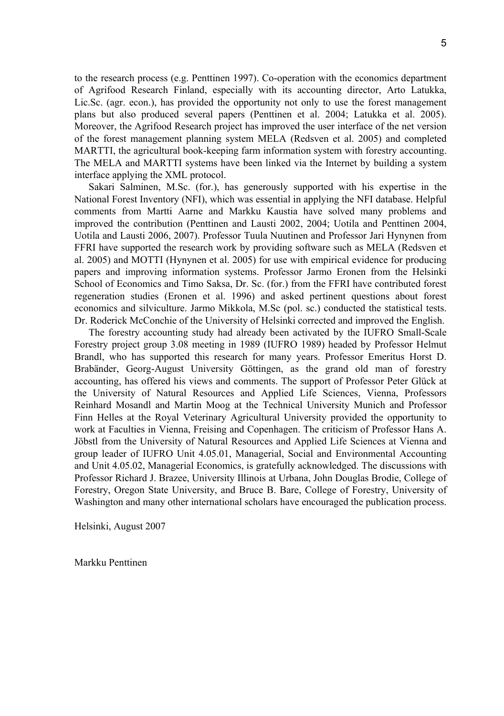to the research process (e.g. Penttinen 1997). Co-operation with the economics department of Agrifood Research Finland, especially with its accounting director, Arto Latukka, Lic.Sc. (agr. econ.), has provided the opportunity not only to use the forest management plans but also produced several papers (Penttinen et al. 2004; Latukka et al. 2005). Moreover, the Agrifood Research project has improved the user interface of the net version of the forest management planning system MELA (Redsven et al. 2005) and completed MARTTI, the agricultural book-keeping farm information system with forestry accounting. The MELA and MARTTI systems have been linked via the Internet by building a system interface applying the XML protocol.

Sakari Salminen, M.Sc. (for.), has generously supported with his expertise in the National Forest Inventory (NFI), which was essential in applying the NFI database. Helpful comments from Martti Aarne and Markku Kaustia have solved many problems and improved the contribution (Penttinen and Lausti 2002, 2004; Uotila and Penttinen 2004, Uotila and Lausti 2006, 2007). Professor Tuula Nuutinen and Professor Jari Hynynen from FFRI have supported the research work by providing software such as MELA (Redsven et al. 2005) and MOTTI (Hynynen et al. 2005) for use with empirical evidence for producing papers and improving information systems. Professor Jarmo Eronen from the Helsinki School of Economics and Timo Saksa, Dr. Sc. (for.) from the FFRI have contributed forest regeneration studies (Eronen et al. 1996) and asked pertinent questions about forest economics and silviculture. Jarmo Mikkola, M.Sc (pol. sc.) conducted the statistical tests. Dr. Roderick McConchie of the University of Helsinki corrected and improved the English.

The forestry accounting study had already been activated by the IUFRO Small-Scale Forestry project group 3.08 meeting in 1989 (IUFRO 1989) headed by Professor Helmut Brandl, who has supported this research for many years. Professor Emeritus Horst D. Brabänder, Georg-August University Göttingen, as the grand old man of forestry accounting, has offered his views and comments. The support of Professor Peter Glück at the University of Natural Resources and Applied Life Sciences, Vienna, Professors Reinhard Mosandl and Martin Moog at the Technical University Munich and Professor Finn Helles at the Royal Veterinary Agricultural University provided the opportunity to work at Faculties in Vienna, Freising and Copenhagen. The criticism of Professor Hans A. Jöbstl from the University of Natural Resources and Applied Life Sciences at Vienna and group leader of IUFRO Unit 4.05.01, Managerial, Social and Environmental Accounting and Unit 4.05.02, Managerial Economics, is gratefully acknowledged. The discussions with Professor Richard J. Brazee, University Illinois at Urbana, John Douglas Brodie, College of Forestry, Oregon State University, and Bruce B. Bare, College of Forestry, University of Washington and many other international scholars have encouraged the publication process.

Helsinki, August 2007

Markku Penttinen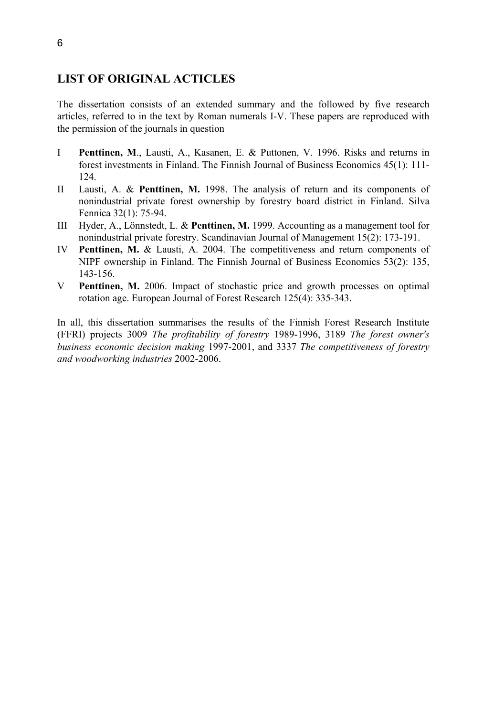# **LIST OF ORIGINAL ACTICLES**

The dissertation consists of an extended summary and the followed by five research articles, referred to in the text by Roman numerals I-V. These papers are reproduced with the permission of the journals in question

- I **Penttinen, M**., Lausti, A., Kasanen, E. & Puttonen, V. 1996. Risks and returns in forest investments in Finland. The Finnish Journal of Business Economics 45(1): 111- 124.
- II Lausti, A. & **Penttinen, M.** 1998. The analysis of return and its components of nonindustrial private forest ownership by forestry board district in Finland. Silva Fennica 32(1): 75-94.
- III Hyder, A., Lönnstedt, L. & **Penttinen, M.** 1999. Accounting as a management tool for nonindustrial private forestry. Scandinavian Journal of Management 15(2): 173-191.
- IV **Penttinen, M.** & Lausti, A. 2004. The competitiveness and return components of NIPF ownership in Finland. The Finnish Journal of Business Economics 53(2): 135, 143-156.
- V **Penttinen, M.** 2006. Impact of stochastic price and growth processes on optimal rotation age. European Journal of Forest Research 125(4): 335-343.

In all, this dissertation summarises the results of the Finnish Forest Research Institute (FFRI) projects 3009 *The profitability of forestry* 1989-1996, 3189 *The forest owner's business economic decision making* 1997-2001, and 3337 *The competitiveness of forestry and woodworking industries* 2002-2006.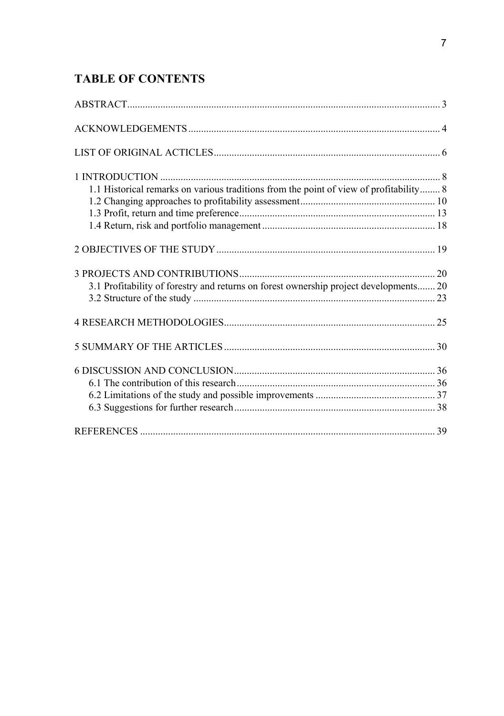# **TABLE OF CONTENTS**

| 1.1 Historical remarks on various traditions from the point of view of profitability 8 |  |
|----------------------------------------------------------------------------------------|--|
|                                                                                        |  |
|                                                                                        |  |
|                                                                                        |  |
|                                                                                        |  |
|                                                                                        |  |
| 3.1 Profitability of forestry and returns on forest ownership project developments 20  |  |
|                                                                                        |  |
|                                                                                        |  |
|                                                                                        |  |
|                                                                                        |  |
|                                                                                        |  |
|                                                                                        |  |
|                                                                                        |  |
|                                                                                        |  |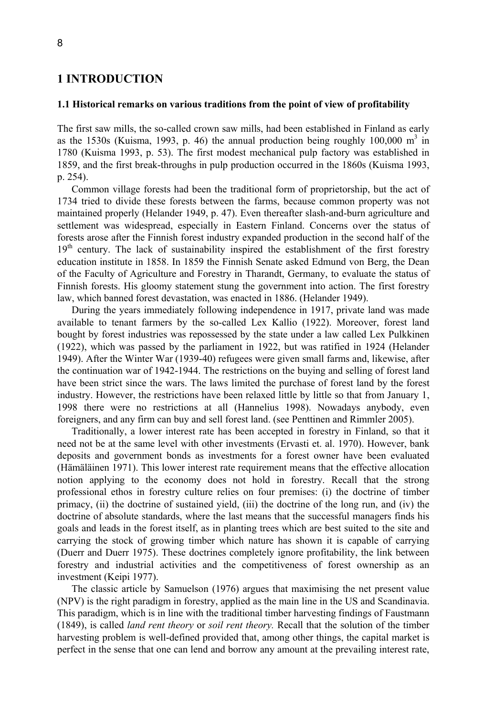# **1 INTRODUCTION**

### **1.1 Historical remarks on various traditions from the point of view of profitability**

The first saw mills, the so-called crown saw mills, had been established in Finland as early as the 1530s (Kuisma, 1993, p. 46) the annual production being roughly  $100,000 \text{ m}^3$  in 1780 (Kuisma 1993, p. 53). The first modest mechanical pulp factory was established in 1859, and the first break-throughs in pulp production occurred in the 1860s (Kuisma 1993, p. 254).

Common village forests had been the traditional form of proprietorship, but the act of 1734 tried to divide these forests between the farms, because common property was not maintained properly (Helander 1949, p. 47). Even thereafter slash-and-burn agriculture and settlement was widespread, especially in Eastern Finland. Concerns over the status of forests arose after the Finnish forest industry expanded production in the second half of the  $19<sup>th</sup>$  century. The lack of sustainability inspired the establishment of the first forestry education institute in 1858. In 1859 the Finnish Senate asked Edmund von Berg, the Dean of the Faculty of Agriculture and Forestry in Tharandt, Germany, to evaluate the status of Finnish forests. His gloomy statement stung the government into action. The first forestry law, which banned forest devastation, was enacted in 1886. (Helander 1949).

During the years immediately following independence in 1917, private land was made available to tenant farmers by the so-called Lex Kallio (1922). Moreover, forest land bought by forest industries was repossessed by the state under a law called Lex Pulkkinen (1922), which was passed by the parliament in 1922, but was ratified in 1924 (Helander 1949). After the Winter War (1939-40) refugees were given small farms and, likewise, after the continuation war of 1942-1944. The restrictions on the buying and selling of forest land have been strict since the wars. The laws limited the purchase of forest land by the forest industry. However, the restrictions have been relaxed little by little so that from January 1, 1998 there were no restrictions at all (Hannelius 1998). Nowadays anybody, even foreigners, and any firm can buy and sell forest land. (see Penttinen and Rimmler 2005).

Traditionally, a lower interest rate has been accepted in forestry in Finland, so that it need not be at the same level with other investments (Ervasti et. al. 1970). However, bank deposits and government bonds as investments for a forest owner have been evaluated (Hämäläinen 1971). This lower interest rate requirement means that the effective allocation notion applying to the economy does not hold in forestry. Recall that the strong professional ethos in forestry culture relies on four premises: (i) the doctrine of timber primacy, (ii) the doctrine of sustained yield, (iii) the doctrine of the long run, and (iv) the doctrine of absolute standards, where the last means that the successful managers finds his goals and leads in the forest itself, as in planting trees which are best suited to the site and carrying the stock of growing timber which nature has shown it is capable of carrying (Duerr and Duerr 1975). These doctrines completely ignore profitability, the link between forestry and industrial activities and the competitiveness of forest ownership as an investment (Keipi 1977).

The classic article by Samuelson (1976) argues that maximising the net present value (NPV) is the right paradigm in forestry, applied as the main line in the US and Scandinavia. This paradigm, which is in line with the traditional timber harvesting findings of Faustmann (1849), is called *land rent theory* or *soil rent theory.* Recall that the solution of the timber harvesting problem is well-defined provided that, among other things, the capital market is perfect in the sense that one can lend and borrow any amount at the prevailing interest rate,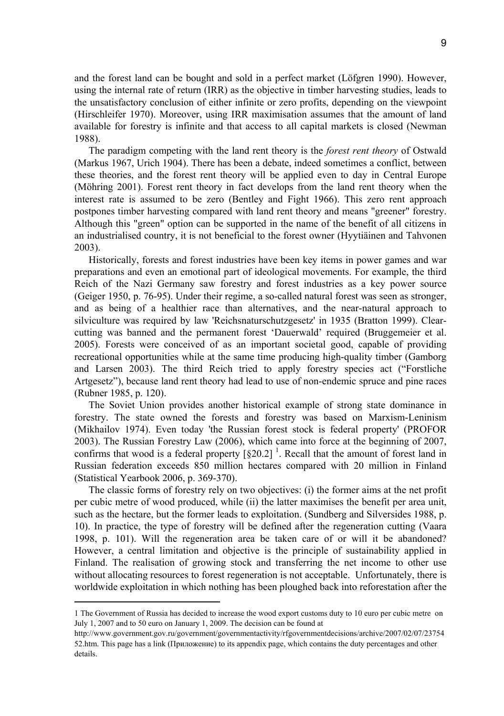and the forest land can be bought and sold in a perfect market (Löfgren 1990). However, using the internal rate of return (IRR) as the objective in timber harvesting studies, leads to the unsatisfactory conclusion of either infinite or zero profits, depending on the viewpoint (Hirschleifer 1970). Moreover, using IRR maximisation assumes that the amount of land available for forestry is infinite and that access to all capital markets is closed (Newman 1988).

The paradigm competing with the land rent theory is the *forest rent theory* of Ostwald (Markus 1967, Urich 1904). There has been a debate, indeed sometimes a conflict, between these theories, and the forest rent theory will be applied even to day in Central Europe (Möhring 2001). Forest rent theory in fact develops from the land rent theory when the interest rate is assumed to be zero (Bentley and Fight 1966). This zero rent approach postpones timber harvesting compared with land rent theory and means "greener" forestry. Although this "green" option can be supported in the name of the benefit of all citizens in an industrialised country, it is not beneficial to the forest owner (Hyytiäinen and Tahvonen 2003).

Historically, forests and forest industries have been key items in power games and war preparations and even an emotional part of ideological movements. For example, the third Reich of the Nazi Germany saw forestry and forest industries as a key power source (Geiger 1950, p. 76-95). Under their regime, a so-called natural forest was seen as stronger, and as being of a healthier race than alternatives, and the near-natural approach to silviculture was required by law 'Reichsnaturschutzgesetz' in 1935 (Bratton 1999). Clearcutting was banned and the permanent forest 'Dauerwald' required (Bruggemeier et al. 2005). Forests were conceived of as an important societal good, capable of providing recreational opportunities while at the same time producing high-quality timber (Gamborg and Larsen 2003). The third Reich tried to apply forestry species act ("Forstliche Artgesetz"), because land rent theory had lead to use of non-endemic spruce and pine races (Rubner 1985, p. 120).

The Soviet Union provides another historical example of strong state dominance in forestry. The state owned the forests and forestry was based on Marxism-Leninism (Mikhailov 1974). Even today 'the Russian forest stock is federal property' (PROFOR 2003). The Russian Forestry Law (2006), which came into force at the beginning of 2007, confirms that wood is a federal property  $\left[\S 20.2\right]$ <sup>1</sup>. Recall that the amount of forest land in Russian federation exceeds 850 million hectares compared with 20 million in Finland (Statistical Yearbook 2006, p. 369-370).

The classic forms of forestry rely on two objectives: (i) the former aims at the net profit per cubic metre of wood produced, while (ii) the latter maximises the benefit per area unit, such as the hectare, but the former leads to exploitation. (Sundberg and Silversides 1988, p. 10). In practice, the type of forestry will be defined after the regeneration cutting (Vaara 1998, p. 101). Will the regeneration area be taken care of or will it be abandoned? However, a central limitation and objective is the principle of sustainability applied in Finland. The realisation of growing stock and transferring the net income to other use without allocating resources to forest regeneration is not acceptable. Unfortunately, there is worldwide exploitation in which nothing has been ploughed back into reforestation after the

<sup>1</sup> The Government of Russia has decided to increase the wood export customs duty to 10 euro per cubic metre on July 1, 2007 and to 50 euro on January 1, 2009. The decision can be found at

http://www.government.gov.ru/government/governmentactivity/rfgovernmentdecisions/archive/2007/02/07/23754 52.htm. This page has a link (Приложение) to its appendix page, which contains the duty percentages and other details.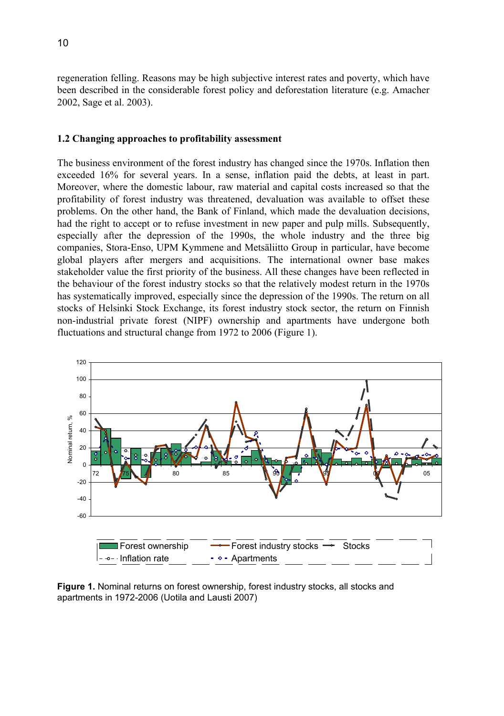regeneration felling. Reasons may be high subjective interest rates and poverty, which have been described in the considerable forest policy and deforestation literature (e.g. Amacher 2002, Sage et al. 2003).

### **1.2 Changing approaches to profitability assessment**

The business environment of the forest industry has changed since the 1970s. Inflation then exceeded 16% for several years. In a sense, inflation paid the debts, at least in part. Moreover, where the domestic labour, raw material and capital costs increased so that the profitability of forest industry was threatened, devaluation was available to offset these problems. On the other hand, the Bank of Finland, which made the devaluation decisions, had the right to accept or to refuse investment in new paper and pulp mills. Subsequently, especially after the depression of the 1990s, the whole industry and the three big companies, Stora-Enso, UPM Kymmene and Metsäliitto Group in particular, have become global players after mergers and acquisitions. The international owner base makes stakeholder value the first priority of the business. All these changes have been reflected in the behaviour of the forest industry stocks so that the relatively modest return in the 1970s has systematically improved, especially since the depression of the 1990s. The return on all stocks of Helsinki Stock Exchange, its forest industry stock sector, the return on Finnish non-industrial private forest (NIPF) ownership and apartments have undergone both fluctuations and structural change from 1972 to 2006 (Figure 1).



**Figure 1.** Nominal returns on forest ownership, forest industry stocks, all stocks and apartments in 1972-2006 (Uotila and Lausti 2007)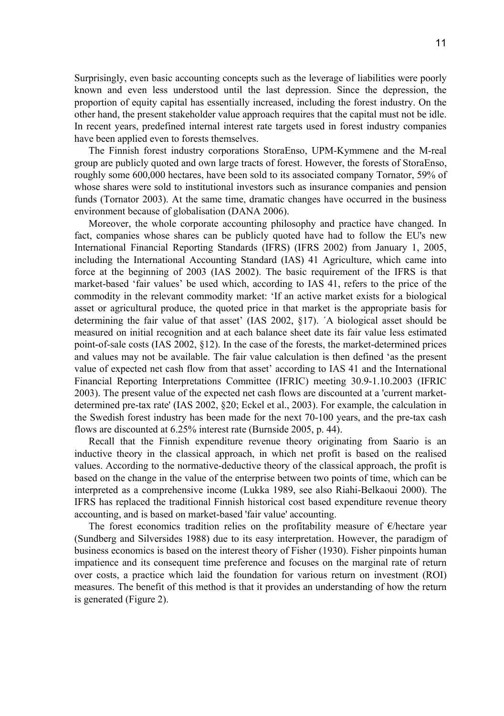Surprisingly, even basic accounting concepts such as the leverage of liabilities were poorly known and even less understood until the last depression. Since the depression, the proportion of equity capital has essentially increased, including the forest industry. On the other hand, the present stakeholder value approach requires that the capital must not be idle. In recent years, predefined internal interest rate targets used in forest industry companies have been applied even to forests themselves.

The Finnish forest industry corporations StoraEnso, UPM-Kymmene and the M-real group are publicly quoted and own large tracts of forest. However, the forests of StoraEnso, roughly some 600,000 hectares, have been sold to its associated company Tornator, 59% of whose shares were sold to institutional investors such as insurance companies and pension funds (Tornator 2003). At the same time, dramatic changes have occurred in the business environment because of globalisation (DANA 2006).

Moreover, the whole corporate accounting philosophy and practice have changed. In fact, companies whose shares can be publicly quoted have had to follow the EU's new International Financial Reporting Standards (IFRS) (IFRS 2002) from January 1, 2005, including the International Accounting Standard (IAS) 41 Agriculture, which came into force at the beginning of 2003 (IAS 2002). The basic requirement of the IFRS is that market-based 'fair values' be used which, according to IAS 41, refers to the price of the commodity in the relevant commodity market: 'If an active market exists for a biological asset or agricultural produce, the quoted price in that market is the appropriate basis for determining the fair value of that asset' (IAS 2002, §17). ´A biological asset should be measured on initial recognition and at each balance sheet date its fair value less estimated point-of-sale costs (IAS 2002, §12). In the case of the forests, the market-determined prices and values may not be available. The fair value calculation is then defined 'as the present value of expected net cash flow from that asset' according to IAS 41 and the International Financial Reporting Interpretations Committee (IFRIC) meeting 30.9-1.10.2003 (IFRIC 2003). The present value of the expected net cash flows are discounted at a 'current marketdetermined pre-tax rate' (IAS 2002, §20; Eckel et al., 2003). For example, the calculation in the Swedish forest industry has been made for the next 70-100 years, and the pre-tax cash flows are discounted at 6.25% interest rate (Burnside 2005, p. 44).

Recall that the Finnish expenditure revenue theory originating from Saario is an inductive theory in the classical approach, in which net profit is based on the realised values. According to the normative-deductive theory of the classical approach, the profit is based on the change in the value of the enterprise between two points of time, which can be interpreted as a comprehensive income (Lukka 1989, see also Riahi-Belkaoui 2000). The IFRS has replaced the traditional Finnish historical cost based expenditure revenue theory accounting, and is based on market-based 'fair value' accounting.

The forest economics tradition relies on the profitability measure of €/hectare year (Sundberg and Silversides 1988) due to its easy interpretation. However, the paradigm of business economics is based on the interest theory of Fisher (1930). Fisher pinpoints human impatience and its consequent time preference and focuses on the marginal rate of return over costs, a practice which laid the foundation for various return on investment (ROI) measures. The benefit of this method is that it provides an understanding of how the return is generated (Figure 2).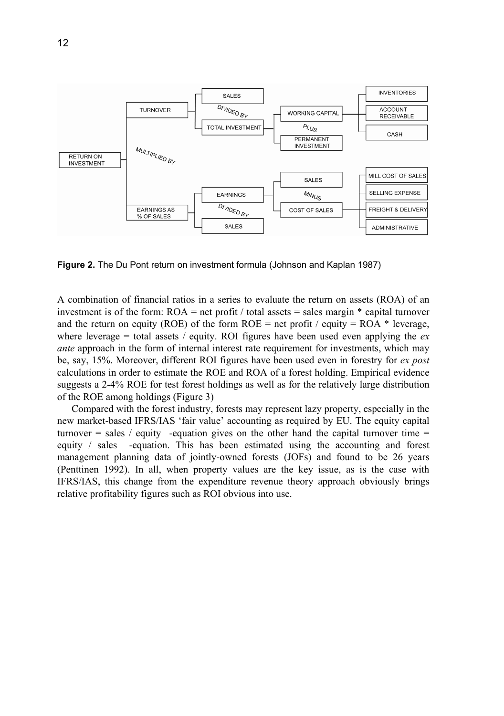

**Figure 2.** The Du Pont return on investment formula (Johnson and Kaplan 1987)

A combination of financial ratios in a series to evaluate the return on assets (ROA) of an investment is of the form:  $ROA = net profit / total assets = sales margin * capital turnover$ and the return on equity (ROE) of the form  $ROE = net$  profit / equity = ROA  $*$  leverage, where leverage  $=$  total assets / equity. ROI figures have been used even applying the  $ex$ *ante* approach in the form of internal interest rate requirement for investments, which may be, say, 15%. Moreover, different ROI figures have been used even in forestry for *ex post*  calculations in order to estimate the ROE and ROA of a forest holding. Empirical evidence suggests a 2-4% ROE for test forest holdings as well as for the relatively large distribution of the ROE among holdings (Figure 3)

Compared with the forest industry, forests may represent lazy property, especially in the new market-based IFRS/IAS 'fair value' accounting as required by EU. The equity capital turnover  $=$  sales / equity -equation gives on the other hand the capital turnover time  $=$ equity / sales -equation. This has been estimated using the accounting and forest management planning data of jointly-owned forests (JOFs) and found to be 26 years (Penttinen 1992). In all, when property values are the key issue, as is the case with IFRS/IAS, this change from the expenditure revenue theory approach obviously brings relative profitability figures such as ROI obvious into use.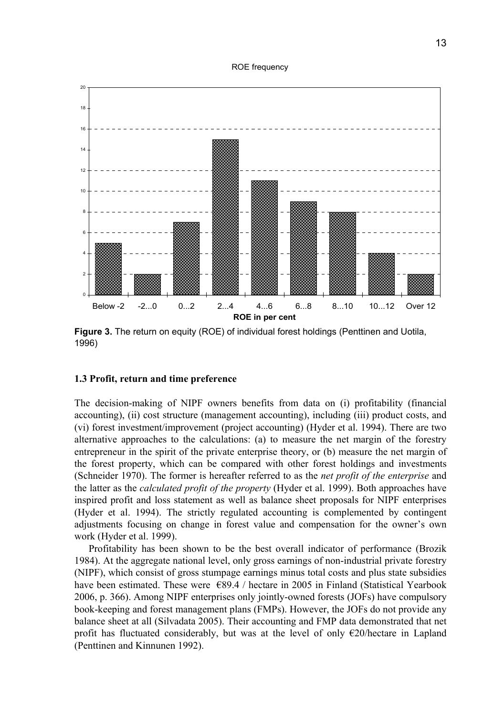#### ROE frequency



**Figure 3.** The return on equity (ROE) of individual forest holdings (Penttinen and Uotila, 1996)

### **1.3 Profit, return and time preference**

The decision-making of NIPF owners benefits from data on (i) profitability (financial accounting), (ii) cost structure (management accounting), including (iii) product costs, and (vi) forest investment/improvement (project accounting) (Hyder et al. 1994). There are two alternative approaches to the calculations: (a) to measure the net margin of the forestry entrepreneur in the spirit of the private enterprise theory, or (b) measure the net margin of the forest property, which can be compared with other forest holdings and investments (Schneider 1970). The former is hereafter referred to as the *net profit of the enterprise* and the latter as the *calculated profit of the property* (Hyder et al. 1999). Both approaches have inspired profit and loss statement as well as balance sheet proposals for NIPF enterprises (Hyder et al. 1994). The strictly regulated accounting is complemented by contingent adjustments focusing on change in forest value and compensation for the owner's own work (Hyder et al. 1999).

Profitability has been shown to be the best overall indicator of performance (Brozik 1984). At the aggregate national level, only gross earnings of non-industrial private forestry (NIPF), which consist of gross stumpage earnings minus total costs and plus state subsidies have been estimated. These were  $\epsilon$ 89.4 / hectare in 2005 in Finland (Statistical Yearbook 2006, p. 366). Among NIPF enterprises only jointly-owned forests (JOFs) have compulsory book-keeping and forest management plans (FMPs). However, the JOFs do not provide any balance sheet at all (Silvadata 2005). Their accounting and FMP data demonstrated that net profit has fluctuated considerably, but was at the level of only  $E20$ /hectare in Lapland (Penttinen and Kinnunen 1992).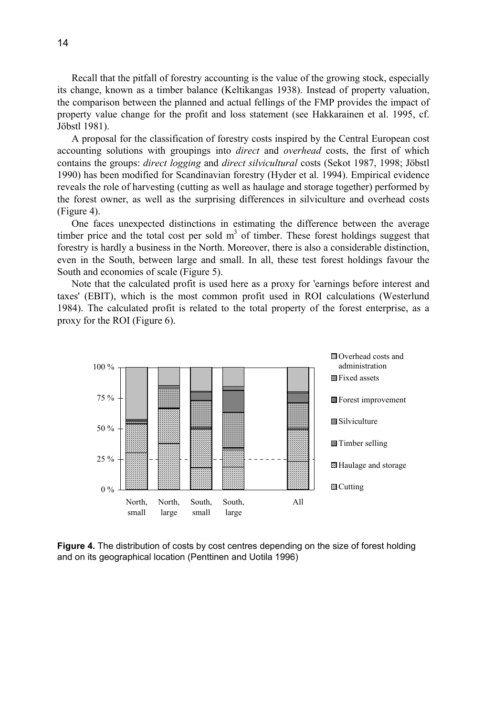Recall that the pitfall of forestry accounting is the value of the growing stock, especially its change, known as a timber balance (Keltikangas 1938). Instead of property valuation, the comparison between the planned and actual fellings of the FMP provides the impact of property value change for the profit and loss statement (see Hakkarainen et al. 1995, cf. Jöbstl 1981).

A proposal for the classification of forestry costs inspired by the Central European cost accounting solutions with groupings into *direct* and *overhead* costs, the first of which contains the groups: *direct logging* and *direct silvicultural* costs (Sekot 1987, 1998; Jöbstl 1990) has been modified for Scandinavian forestry (Hyder et al. 1994). Empirical evidence reveals the role of harvesting (cutting as well as haulage and storage together) performed by the forest owner, as well as the surprising differences in silviculture and overhead costs (Figure 4).

One faces unexpected distinctions in estimating the difference between the average timber price and the total cost per sold  $m<sup>3</sup>$  of timber. These forest holdings suggest that forestry is hardly a business in the North. Moreover, there is also a considerable distinction, even in the South, between large and small. In all, these test forest holdings favour the South and economies of scale (Figure 5).

Note that the calculated profit is used here as a proxy for 'earnings before interest and taxes' (EBIT), which is the most common profit used in ROI calculations (Westerlund 1984). The calculated profit is related to the total property of the forest enterprise, as a proxy for the ROI (Figure 6).



**Figure 4.** The distribution of costs by cost centres depending on the size of forest holding and on its geographical location (Penttinen and Uotila 1996)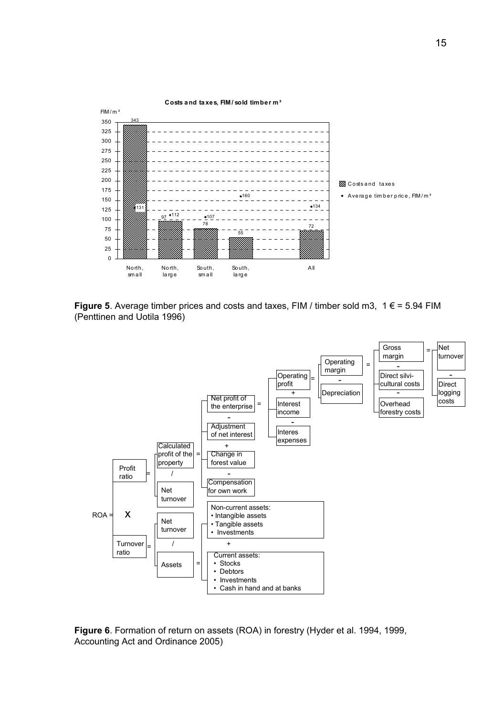

**Figure 5**. Average timber prices and costs and taxes, FIM / timber sold m3,  $1 \in 5.94$  FIM (Penttinen and Uotila 1996)



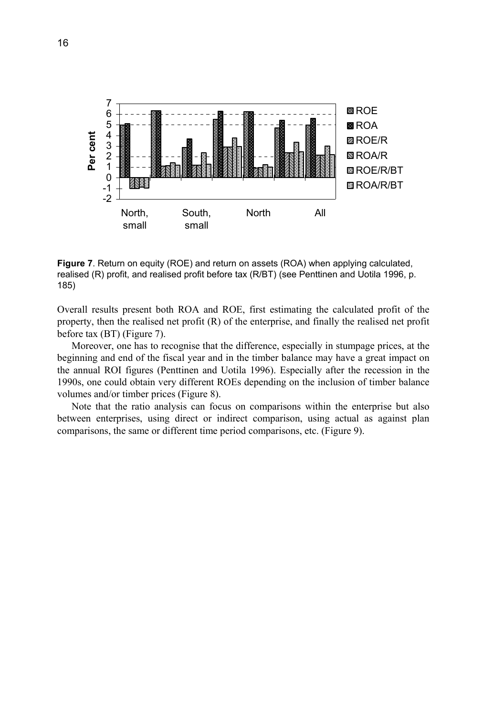

**Figure 7**. Return on equity (ROE) and return on assets (ROA) when applying calculated, realised (R) profit, and realised profit before tax (R/BT) (see Penttinen and Uotila 1996, p. 185)

Overall results present both ROA and ROE, first estimating the calculated profit of the property, then the realised net profit (R) of the enterprise, and finally the realised net profit before tax (BT) (Figure 7).

Moreover, one has to recognise that the difference, especially in stumpage prices, at the beginning and end of the fiscal year and in the timber balance may have a great impact on the annual ROI figures (Penttinen and Uotila 1996). Especially after the recession in the 1990s, one could obtain very different ROEs depending on the inclusion of timber balance volumes and/or timber prices (Figure 8).

Note that the ratio analysis can focus on comparisons within the enterprise but also between enterprises, using direct or indirect comparison, using actual as against plan comparisons, the same or different time period comparisons, etc. (Figure 9).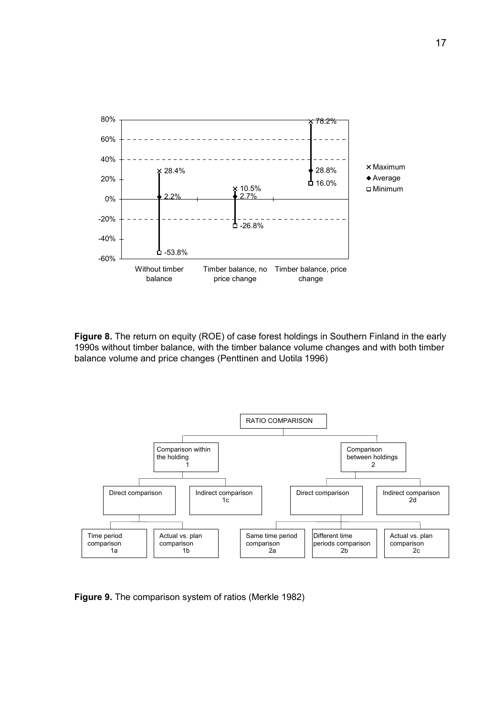

**Figure 8.** The return on equity (ROE) of case forest holdings in Southern Finland in the early 1990s without timber balance, with the timber balance volume changes and with both timber balance volume and price changes (Penttinen and Uotila 1996)



**Figure 9.** The comparison system of ratios (Merkle 1982)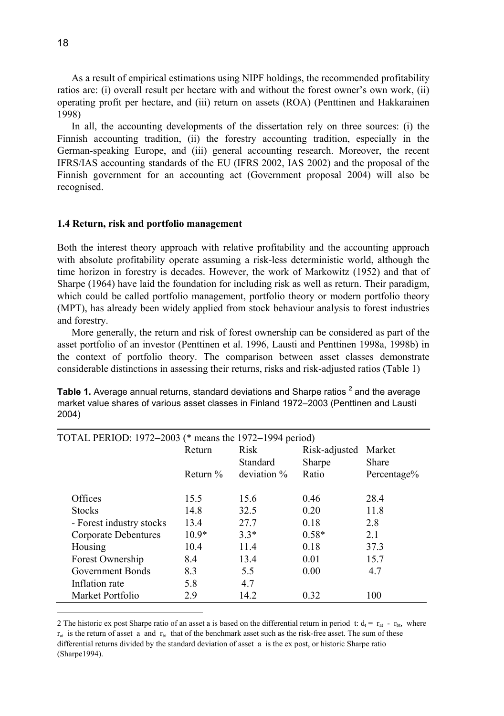As a result of empirical estimations using NIPF holdings, the recommended profitability ratios are: (i) overall result per hectare with and without the forest owner's own work, (ii) operating profit per hectare, and (iii) return on assets (ROA) (Penttinen and Hakkarainen 1998)

In all, the accounting developments of the dissertation rely on three sources: (i) the Finnish accounting tradition, (ii) the forestry accounting tradition, especially in the German-speaking Europe, and (iii) general accounting research. Moreover, the recent IFRS/IAS accounting standards of the EU (IFRS 2002, IAS 2002) and the proposal of the Finnish government for an accounting act (Government proposal 2004) will also be recognised.

### **1.4 Return, risk and portfolio management**

Both the interest theory approach with relative profitability and the accounting approach with absolute profitability operate assuming a risk-less deterministic world, although the time horizon in forestry is decades. However, the work of Markowitz (1952) and that of Sharpe (1964) have laid the foundation for including risk as well as return. Their paradigm, which could be called portfolio management, portfolio theory or modern portfolio theory (MPT), has already been widely applied from stock behaviour analysis to forest industries and forestry.

More generally, the return and risk of forest ownership can be considered as part of the asset portfolio of an investor (Penttinen et al. 1996, Lausti and Penttinen 1998a, 1998b) in the context of portfolio theory. The comparison between asset classes demonstrate considerable distinctions in assessing their returns, risks and risk-adjusted ratios (Table 1)

| Table 1. Average annual returns, standard deviations and Sharpe ratios <sup>2</sup> and the average |
|-----------------------------------------------------------------------------------------------------|
| market value shares of various asset classes in Finland 1972–2003 (Penttinen and Lausti             |
| 2004)                                                                                               |

| TOTAL PERIOD: 1972-2003 (* means the 1972-1994 period) |             |             |               |              |  |
|--------------------------------------------------------|-------------|-------------|---------------|--------------|--|
|                                                        | Return      | <b>Risk</b> | Risk-adjusted | Market       |  |
|                                                        |             | Standard    | Sharpe        | <b>Share</b> |  |
|                                                        | Return $\%$ | deviation % | Ratio         | Percentage%  |  |
|                                                        |             |             |               |              |  |
| Offices                                                | 15.5        | 15.6        | 0.46          | 28.4         |  |
| <b>Stocks</b>                                          | 14.8        | 32.5        | 0.20          | 11.8         |  |
| - Forest industry stocks                               | 13.4        | 27.7        | 0.18          | 2.8          |  |
| Corporate Debentures                                   | $10.9*$     | $3.3*$      | $0.58*$       | 2.1          |  |
| Housing                                                | 10.4        | 11.4        | 0.18          | 37.3         |  |
| Forest Ownership                                       | 8.4         | 13.4        | 0.01          | 15.7         |  |
| Government Bonds                                       | 8.3         | 5.5         | 0.00          | 4.7          |  |
| Inflation rate                                         | 5.8         | 4.7         |               |              |  |
| Market Portfolio                                       | 2.9         | 14.2        | 0.32          | 100          |  |

<sup>2</sup> The historic ex post Sharpe ratio of an asset a is based on the differential return in period t:  $d_t = r_{at} - r_{bt}$ , where  $r_{at}$  is the return of asset a and  $r_{bt}$  that of the benchmark asset such as the risk-free asset. The sum of these differential returns divided by the standard deviation of asset a is the ex post, or historic Sharpe ratio (Sharpe1994).

 $\overline{a}$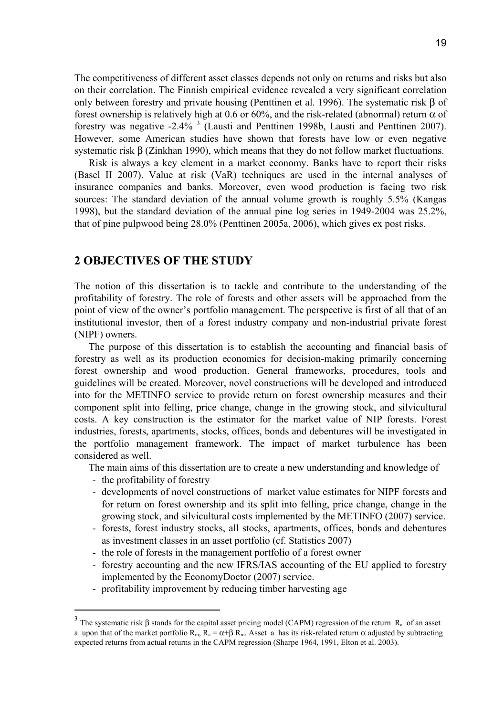The competitiveness of different asset classes depends not only on returns and risks but also on their correlation. The Finnish empirical evidence revealed a very significant correlation only between forestry and private housing (Penttinen et al. 1996). The systematic risk β of forest ownership is relatively high at 0.6 or 60%, and the risk-related (abnormal) return  $\alpha$  of forestry was negative  $-2.4\%$ <sup>3</sup> (Lausti and Penttinen 1998b, Lausti and Penttinen 2007). However, some American studies have shown that forests have low or even negative systematic risk β (Zinkhan 1990), which means that they do not follow market fluctuations.

Risk is always a key element in a market economy. Banks have to report their risks (Basel II 2007). Value at risk (VaR) techniques are used in the internal analyses of insurance companies and banks. Moreover, even wood production is facing two risk sources: The standard deviation of the annual volume growth is roughly 5.5% (Kangas 1998), but the standard deviation of the annual pine log series in 1949-2004 was 25.2%, that of pine pulpwood being 28.0% (Penttinen 2005a, 2006), which gives ex post risks.

### **2 OBJECTIVES OF THE STUDY**

The notion of this dissertation is to tackle and contribute to the understanding of the profitability of forestry. The role of forests and other assets will be approached from the point of view of the owner's portfolio management. The perspective is first of all that of an institutional investor, then of a forest industry company and non-industrial private forest (NIPF) owners.

The purpose of this dissertation is to establish the accounting and financial basis of forestry as well as its production economics for decision-making primarily concerning forest ownership and wood production. General frameworks, procedures, tools and guidelines will be created. Moreover, novel constructions will be developed and introduced into for the METINFO service to provide return on forest ownership measures and their component split into felling, price change, change in the growing stock, and silvicultural costs. A key construction is the estimator for the market value of NIP forests. Forest industries, forests, apartments, stocks, offices, bonds and debentures will be investigated in the portfolio management framework. The impact of market turbulence has been considered as well.

The main aims of this dissertation are to create a new understanding and knowledge of

- the profitability of forestry

l

- developments of novel constructions of market value estimates for NIPF forests and for return on forest ownership and its split into felling, price change, change in the growing stock, and silvicultural costs implemented by the METINFO (2007) service.
- forests, forest industry stocks, all stocks, apartments, offices, bonds and debentures as investment classes in an asset portfolio (cf. Statistics 2007)
- the role of forests in the management portfolio of a forest owner
- forestry accounting and the new IFRS/IAS accounting of the EU applied to forestry implemented by the EconomyDoctor (2007) service.
- profitability improvement by reducing timber harvesting age

<sup>&</sup>lt;sup>3</sup> The systematic risk β stands for the capital asset pricing model (CAPM) regression of the return R<sub>a</sub> of an asset a upon that of the market portfolio  $R_m$ ,  $R_a = \alpha + \beta R_m$ . Asset a has its risk-related return  $\alpha$  adjusted by subtracting expected returns from actual returns in the CAPM regression (Sharpe 1964, 1991, Elton et al. 2003).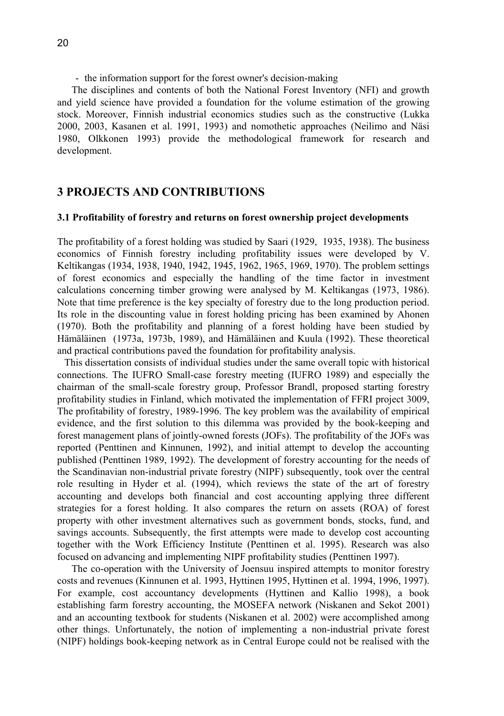- the information support for the forest owner's decision-making

The disciplines and contents of both the National Forest Inventory (NFI) and growth and yield science have provided a foundation for the volume estimation of the growing stock. Moreover, Finnish industrial economics studies such as the constructive (Lukka 2000, 2003, Kasanen et al. 1991, 1993) and nomothetic approaches (Neilimo and Näsi 1980, Olkkonen 1993) provide the methodological framework for research and development.

## **3 PROJECTS AND CONTRIBUTIONS**

### **3.1 Profitability of forestry and returns on forest ownership project developments**

The profitability of a forest holding was studied by Saari (1929, 1935, 1938). The business economics of Finnish forestry including profitability issues were developed by V. Keltikangas (1934, 1938, 1940, 1942, 1945, 1962, 1965, 1969, 1970). The problem settings of forest economics and especially the handling of the time factor in investment calculations concerning timber growing were analysed by M. Keltikangas (1973, 1986). Note that time preference is the key specialty of forestry due to the long production period. Its role in the discounting value in forest holding pricing has been examined by Ahonen (1970). Both the profitability and planning of a forest holding have been studied by Hämäläinen (1973a, 1973b, 1989), and Hämäläinen and Kuula (1992). These theoretical and practical contributions paved the foundation for profitability analysis.

This dissertation consists of individual studies under the same overall topic with historical connections. The IUFRO Small-case forestry meeting (IUFRO 1989) and especially the chairman of the small-scale forestry group, Professor Brandl, proposed starting forestry profitability studies in Finland, which motivated the implementation of FFRI project 3009, The profitability of forestry, 1989-1996. The key problem was the availability of empirical evidence, and the first solution to this dilemma was provided by the book-keeping and forest management plans of jointly-owned forests (JOFs). The profitability of the JOFs was reported (Penttinen and Kinnunen, 1992), and initial attempt to develop the accounting published (Penttinen 1989, 1992). The development of forestry accounting for the needs of the Scandinavian non-industrial private forestry (NIPF) subsequently, took over the central role resulting in Hyder et al. (1994), which reviews the state of the art of forestry accounting and develops both financial and cost accounting applying three different strategies for a forest holding. It also compares the return on assets (ROA) of forest property with other investment alternatives such as government bonds, stocks, fund, and savings accounts. Subsequently, the first attempts were made to develop cost accounting together with the Work Efficiency Institute (Penttinen et al. 1995). Research was also focused on advancing and implementing NIPF profitability studies (Penttinen 1997).

The co-operation with the University of Joensuu inspired attempts to monitor forestry costs and revenues (Kinnunen et al. 1993, Hyttinen 1995, Hyttinen et al. 1994, 1996, 1997). For example, cost accountancy developments (Hyttinen and Kallio 1998), a book establishing farm forestry accounting, the MOSEFA network (Niskanen and Sekot 2001) and an accounting textbook for students (Niskanen et al. 2002) were accomplished among other things. Unfortunately, the notion of implementing a non-industrial private forest (NIPF) holdings book-keeping network as in Central Europe could not be realised with the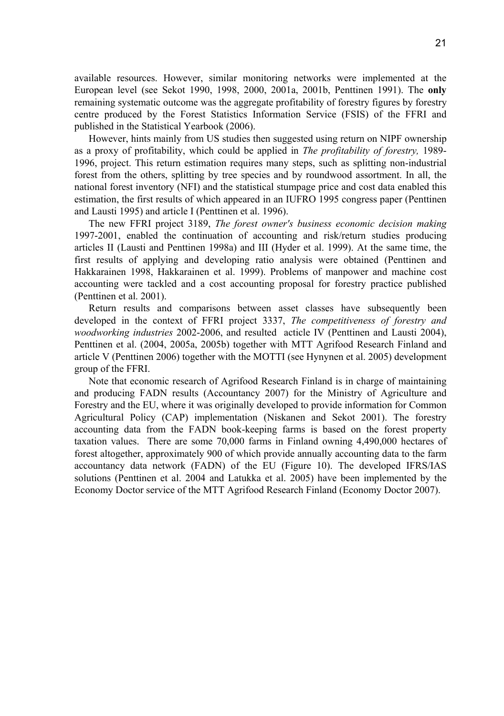available resources. However, similar monitoring networks were implemented at the European level (see Sekot 1990, 1998, 2000, 2001a, 2001b, Penttinen 1991). The **only** remaining systematic outcome was the aggregate profitability of forestry figures by forestry centre produced by the Forest Statistics Information Service (FSIS) of the FFRI and published in the Statistical Yearbook (2006).

However, hints mainly from US studies then suggested using return on NIPF ownership as a proxy of profitability, which could be applied in *The profitability of forestry,* 1989- 1996, project. This return estimation requires many steps, such as splitting non-industrial forest from the others, splitting by tree species and by roundwood assortment. In all, the national forest inventory (NFI) and the statistical stumpage price and cost data enabled this estimation, the first results of which appeared in an IUFRO 1995 congress paper (Penttinen and Lausti 1995) and article I (Penttinen et al. 1996).

The new FFRI project 3189, *The forest owner's business economic decision making* 1997-2001, enabled the continuation of accounting and risk/return studies producing articles II (Lausti and Penttinen 1998a) and III (Hyder et al. 1999). At the same time, the first results of applying and developing ratio analysis were obtained (Penttinen and Hakkarainen 1998, Hakkarainen et al. 1999). Problems of manpower and machine cost accounting were tackled and a cost accounting proposal for forestry practice published (Penttinen et al. 2001).

Return results and comparisons between asset classes have subsequently been developed in the context of FFRI project 3337, *The competitiveness of forestry and woodworking industries* 2002-2006, and resulted acticle IV (Penttinen and Lausti 2004), Penttinen et al. (2004, 2005a, 2005b) together with MTT Agrifood Research Finland and article V (Penttinen 2006) together with the MOTTI (see Hynynen et al. 2005) development group of the FFRI.

Note that economic research of Agrifood Research Finland is in charge of maintaining and producing FADN results (Accountancy 2007) for the Ministry of Agriculture and Forestry and the EU, where it was originally developed to provide information for Common Agricultural Policy (CAP) implementation (Niskanen and Sekot 2001). The forestry accounting data from the FADN book-keeping farms is based on the forest property taxation values. There are some 70,000 farms in Finland owning 4,490,000 hectares of forest altogether, approximately 900 of which provide annually accounting data to the farm accountancy data network (FADN) of the EU (Figure 10). The developed IFRS/IAS solutions (Penttinen et al. 2004 and Latukka et al. 2005) have been implemented by the Economy Doctor service of the MTT Agrifood Research Finland (Economy Doctor 2007).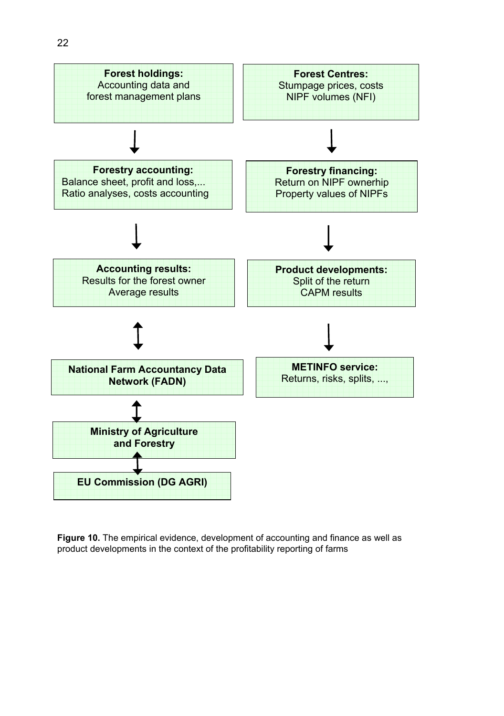

**Figure 10.** The empirical evidence, development of accounting and finance as well as product developments in the context of the profitability reporting of farms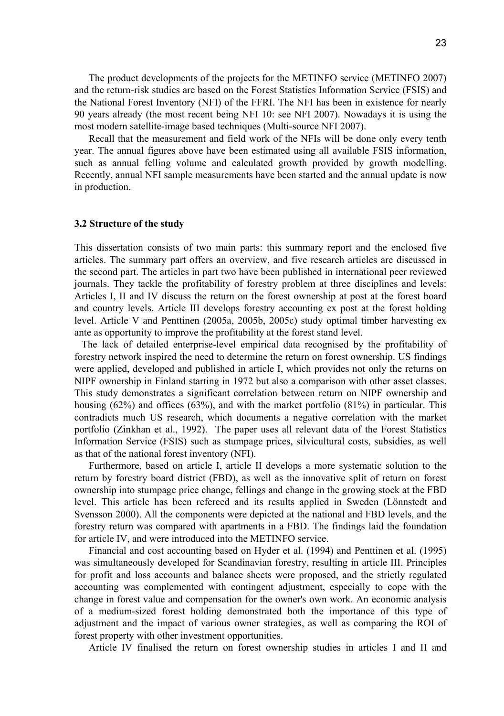The product developments of the projects for the METINFO service (METINFO 2007) and the return-risk studies are based on the Forest Statistics Information Service (FSIS) and the National Forest Inventory (NFI) of the FFRI. The NFI has been in existence for nearly 90 years already (the most recent being NFI 10: see NFI 2007). Nowadays it is using the most modern satellite-image based techniques (Multi-source NFI 2007).

Recall that the measurement and field work of the NFIs will be done only every tenth year. The annual figures above have been estimated using all available FSIS information, such as annual felling volume and calculated growth provided by growth modelling. Recently, annual NFI sample measurements have been started and the annual update is now in production.

#### **3.2 Structure of the study**

This dissertation consists of two main parts: this summary report and the enclosed five articles. The summary part offers an overview, and five research articles are discussed in the second part. The articles in part two have been published in international peer reviewed journals. They tackle the profitability of forestry problem at three disciplines and levels: Articles I, II and IV discuss the return on the forest ownership at post at the forest board and country levels. Article III develops forestry accounting ex post at the forest holding level. Article V and Penttinen (2005a, 2005b, 2005c) study optimal timber harvesting ex ante as opportunity to improve the profitability at the forest stand level.

The lack of detailed enterprise-level empirical data recognised by the profitability of forestry network inspired the need to determine the return on forest ownership. US findings were applied, developed and published in article I, which provides not only the returns on NIPF ownership in Finland starting in 1972 but also a comparison with other asset classes. This study demonstrates a significant correlation between return on NIPF ownership and housing (62%) and offices (63%), and with the market portfolio (81%) in particular. This contradicts much US research, which documents a negative correlation with the market portfolio (Zinkhan et al., 1992). The paper uses all relevant data of the Forest Statistics Information Service (FSIS) such as stumpage prices, silvicultural costs, subsidies, as well as that of the national forest inventory (NFI).

Furthermore, based on article I, article II develops a more systematic solution to the return by forestry board district (FBD), as well as the innovative split of return on forest ownership into stumpage price change, fellings and change in the growing stock at the FBD level. This article has been refereed and its results applied in Sweden (Lönnstedt and Svensson 2000). All the components were depicted at the national and FBD levels, and the forestry return was compared with apartments in a FBD. The findings laid the foundation for article IV, and were introduced into the METINFO service.

Financial and cost accounting based on Hyder et al. (1994) and Penttinen et al. (1995) was simultaneously developed for Scandinavian forestry, resulting in article III. Principles for profit and loss accounts and balance sheets were proposed, and the strictly regulated accounting was complemented with contingent adjustment, especially to cope with the change in forest value and compensation for the owner's own work. An economic analysis of a medium-sized forest holding demonstrated both the importance of this type of adjustment and the impact of various owner strategies, as well as comparing the ROI of forest property with other investment opportunities.

Article IV finalised the return on forest ownership studies in articles I and II and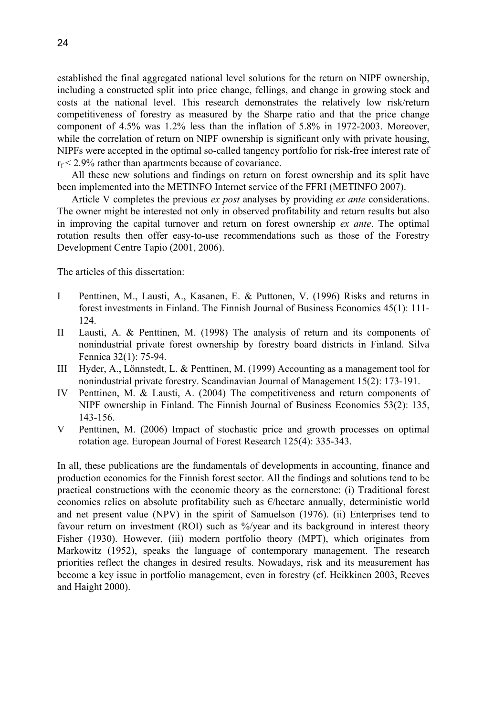established the final aggregated national level solutions for the return on NIPF ownership, including a constructed split into price change, fellings, and change in growing stock and costs at the national level. This research demonstrates the relatively low risk/return competitiveness of forestry as measured by the Sharpe ratio and that the price change component of 4.5% was 1.2% less than the inflation of 5.8% in 1972-2003. Moreover, while the correlation of return on NIPF ownership is significant only with private housing, NIPFs were accepted in the optimal so-called tangency portfolio for risk-free interest rate of  $r_f < 2.9\%$  rather than apartments because of covariance.

All these new solutions and findings on return on forest ownership and its split have been implemented into the METINFO Internet service of the FFRI (METINFO 2007).

Article V completes the previous *ex post* analyses by providing *ex ante* considerations. The owner might be interested not only in observed profitability and return results but also in improving the capital turnover and return on forest ownership *ex ante*. The optimal rotation results then offer easy-to-use recommendations such as those of the Forestry Development Centre Tapio (2001, 2006).

The articles of this dissertation:

- I Penttinen, M., Lausti, A., Kasanen, E. & Puttonen, V. (1996) Risks and returns in forest investments in Finland. The Finnish Journal of Business Economics 45(1): 111- 124.
- II Lausti, A. & Penttinen, M. (1998) The analysis of return and its components of nonindustrial private forest ownership by forestry board districts in Finland. Silva Fennica 32(1): 75-94.
- III Hyder, A., Lönnstedt, L. & Penttinen, M. (1999) Accounting as a management tool for nonindustrial private forestry. Scandinavian Journal of Management 15(2): 173-191.
- IV Penttinen, M. & Lausti, A. (2004) The competitiveness and return components of NIPF ownership in Finland. The Finnish Journal of Business Economics 53(2): 135, 143-156.
- V Penttinen, M. (2006) Impact of stochastic price and growth processes on optimal rotation age. European Journal of Forest Research 125(4): 335-343.

In all, these publications are the fundamentals of developments in accounting, finance and production economics for the Finnish forest sector. All the findings and solutions tend to be practical constructions with the economic theory as the cornerstone: (i) Traditional forest economics relies on absolute profitability such as  $\epsilon$ /hectare annually, deterministic world and net present value (NPV) in the spirit of Samuelson (1976). (ii) Enterprises tend to favour return on investment (ROI) such as %/year and its background in interest theory Fisher (1930). However, (iii) modern portfolio theory (MPT), which originates from Markowitz (1952), speaks the language of contemporary management. The research priorities reflect the changes in desired results. Nowadays, risk and its measurement has become a key issue in portfolio management, even in forestry (cf. Heikkinen 2003, Reeves and Haight 2000).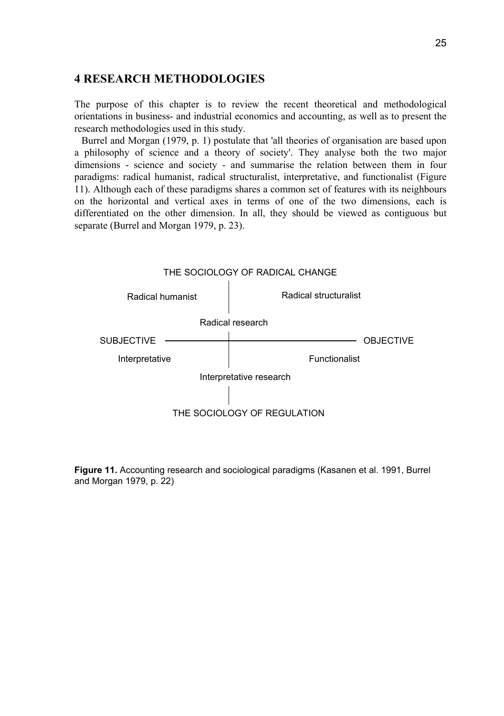### **4 RESEARCH METHODOLOGIES**

The purpose of this chapter is to review the recent theoretical and methodological orientations in business- and industrial economics and accounting, as well as to present the research methodologies used in this study.

Burrel and Morgan (1979, p. 1) postulate that 'all theories of organisation are based upon a philosophy of science and a theory of society'. They analyse both the two major dimensions - science and society - and summarise the relation between them in four paradigms: radical humanist, radical structuralist, interpretative, and functionalist (Figure 11). Although each of these paradigms shares a common set of features with its neighbours on the horizontal and vertical axes in terms of one of the two dimensions, each is differentiated on the other dimension. In all, they should be viewed as contiguous but separate (Burrel and Morgan 1979, p. 23).



**Figure 11.** Accounting research and sociological paradigms (Kasanen et al. 1991, Burrel and Morgan 1979, p. 22)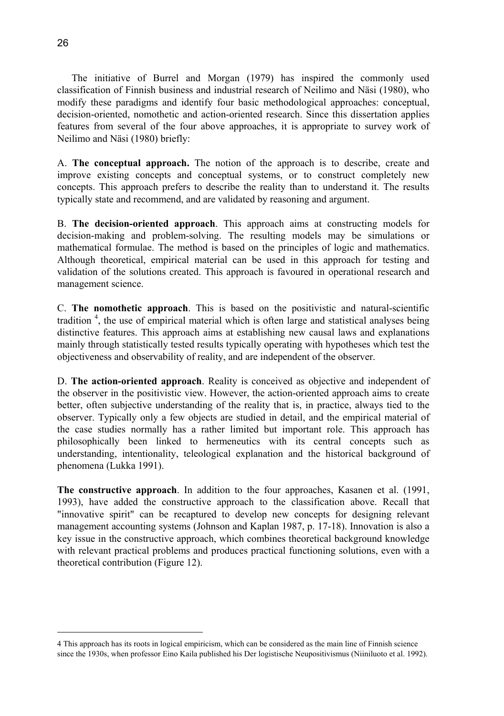The initiative of Burrel and Morgan (1979) has inspired the commonly used classification of Finnish business and industrial research of Neilimo and Näsi (1980), who modify these paradigms and identify four basic methodological approaches: conceptual, decision-oriented, nomothetic and action-oriented research. Since this dissertation applies features from several of the four above approaches, it is appropriate to survey work of Neilimo and Näsi (1980) briefly:

A. **The conceptual approach.** The notion of the approach is to describe, create and improve existing concepts and conceptual systems, or to construct completely new concepts. This approach prefers to describe the reality than to understand it. The results typically state and recommend, and are validated by reasoning and argument.

B. **The decision-oriented approach**. This approach aims at constructing models for decision-making and problem-solving. The resulting models may be simulations or mathematical formulae. The method is based on the principles of logic and mathematics. Although theoretical, empirical material can be used in this approach for testing and validation of the solutions created. This approach is favoured in operational research and management science.

C. **The nomothetic approach**. This is based on the positivistic and natural-scientific tradition<sup>4</sup>, the use of empirical material which is often large and statistical analyses being distinctive features. This approach aims at establishing new causal laws and explanations mainly through statistically tested results typically operating with hypotheses which test the objectiveness and observability of reality, and are independent of the observer.

D. **The action-oriented approach**. Reality is conceived as objective and independent of the observer in the positivistic view. However, the action-oriented approach aims to create better, often subjective understanding of the reality that is, in practice, always tied to the observer. Typically only a few objects are studied in detail, and the empirical material of the case studies normally has a rather limited but important role. This approach has philosophically been linked to hermeneutics with its central concepts such as understanding, intentionality, teleological explanation and the historical background of phenomena (Lukka 1991).

**The constructive approach**. In addition to the four approaches, Kasanen et al. (1991, 1993), have added the constructive approach to the classification above. Recall that "innovative spirit" can be recaptured to develop new concepts for designing relevant management accounting systems (Johnson and Kaplan 1987, p. 17-18). Innovation is also a key issue in the constructive approach, which combines theoretical background knowledge with relevant practical problems and produces practical functioning solutions, even with a theoretical contribution (Figure 12).

 $\overline{a}$ 

<sup>4</sup> This approach has its roots in logical empiricism, which can be considered as the main line of Finnish science since the 1930s, when professor Eino Kaila published his Der logistische Neupositivismus (Niiniluoto et al. 1992).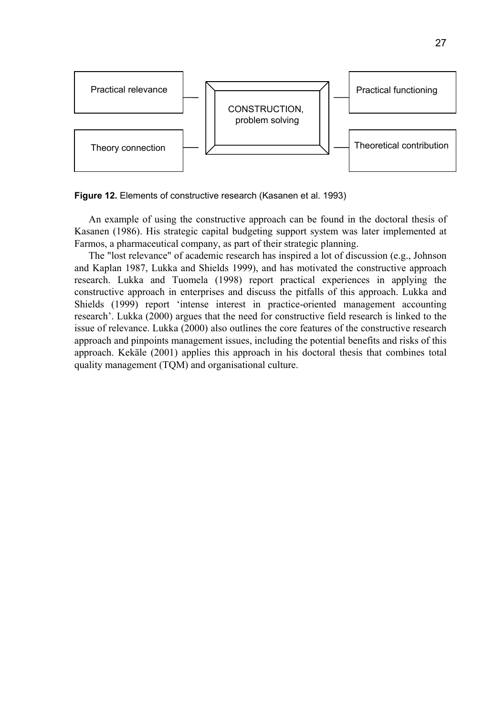

**Figure 12.** Elements of constructive research (Kasanen et al. 1993)

An example of using the constructive approach can be found in the doctoral thesis of Kasanen (1986). His strategic capital budgeting support system was later implemented at Farmos, a pharmaceutical company, as part of their strategic planning.

The "lost relevance" of academic research has inspired a lot of discussion (e.g., Johnson and Kaplan 1987, Lukka and Shields 1999), and has motivated the constructive approach research. Lukka and Tuomela (1998) report practical experiences in applying the constructive approach in enterprises and discuss the pitfalls of this approach. Lukka and Shields (1999) report 'intense interest in practice-oriented management accounting research'. Lukka (2000) argues that the need for constructive field research is linked to the issue of relevance. Lukka (2000) also outlines the core features of the constructive research approach and pinpoints management issues, including the potential benefits and risks of this approach. Kekäle (2001) applies this approach in his doctoral thesis that combines total quality management (TQM) and organisational culture.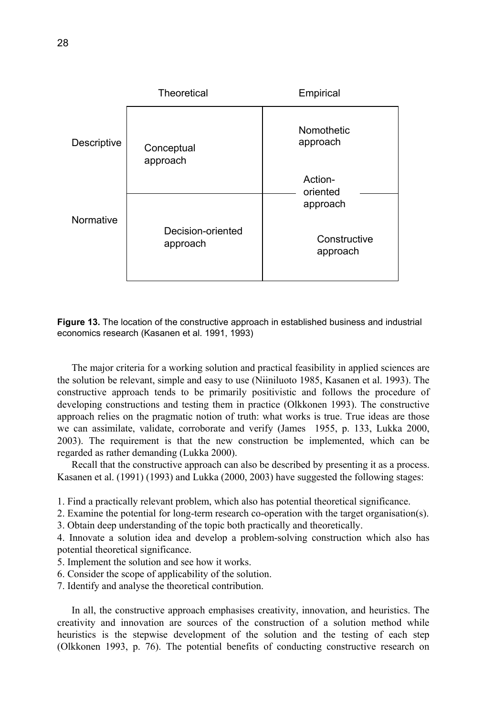|             | Theoretical                   | Empirical                         |
|-------------|-------------------------------|-----------------------------------|
| Descriptive | Conceptual<br>approach        | Nomothetic<br>approach<br>Action- |
| Normative   |                               | oriented<br>approach              |
|             | Decision-oriented<br>approach | Constructive<br>approach          |

**Figure 13.** The location of the constructive approach in established business and industrial economics research (Kasanen et al. 1991, 1993)

The major criteria for a working solution and practical feasibility in applied sciences are the solution be relevant, simple and easy to use (Niiniluoto 1985, Kasanen et al. 1993). The constructive approach tends to be primarily positivistic and follows the procedure of developing constructions and testing them in practice (Olkkonen 1993). The constructive approach relies on the pragmatic notion of truth: what works is true. True ideas are those we can assimilate, validate, corroborate and verify (James 1955, p. 133, Lukka 2000, 2003). The requirement is that the new construction be implemented, which can be regarded as rather demanding (Lukka 2000).

Recall that the constructive approach can also be described by presenting it as a process. Kasanen et al. (1991) (1993) and Lukka (2000, 2003) have suggested the following stages:

1. Find a practically relevant problem, which also has potential theoretical significance.

2. Examine the potential for long-term research co-operation with the target organisation(s).

3. Obtain deep understanding of the topic both practically and theoretically.

4. Innovate a solution idea and develop a problem-solving construction which also has potential theoretical significance.

- 5. Implement the solution and see how it works.
- 6. Consider the scope of applicability of the solution.

7. Identify and analyse the theoretical contribution.

In all, the constructive approach emphasises creativity, innovation, and heuristics. The creativity and innovation are sources of the construction of a solution method while heuristics is the stepwise development of the solution and the testing of each step (Olkkonen 1993, p. 76). The potential benefits of conducting constructive research on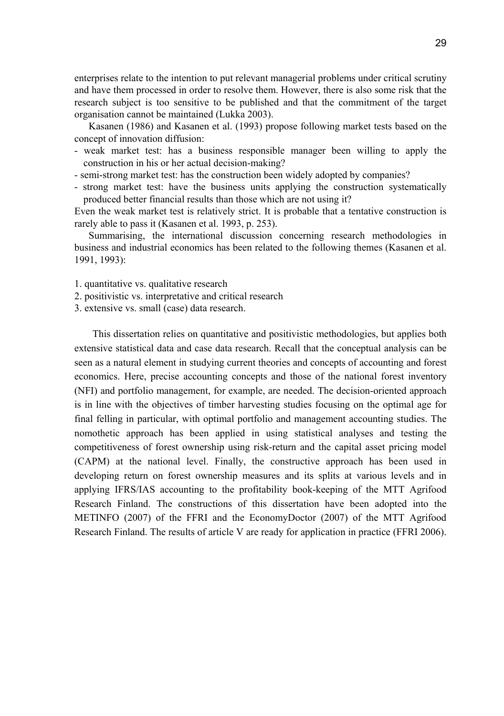enterprises relate to the intention to put relevant managerial problems under critical scrutiny and have them processed in order to resolve them. However, there is also some risk that the research subject is too sensitive to be published and that the commitment of the target organisation cannot be maintained (Lukka 2003).

Kasanen (1986) and Kasanen et al. (1993) propose following market tests based on the concept of innovation diffusion:

- weak market test: has a business responsible manager been willing to apply the construction in his or her actual decision-making?
- semi-strong market test: has the construction been widely adopted by companies?
- strong market test: have the business units applying the construction systematically produced better financial results than those which are not using it?

Even the weak market test is relatively strict. It is probable that a tentative construction is rarely able to pass it (Kasanen et al. 1993, p. 253).

Summarising, the international discussion concerning research methodologies in business and industrial economics has been related to the following themes (Kasanen et al. 1991, 1993):

1. quantitative vs. qualitative research

- 2. positivistic vs. interpretative and critical research
- 3. extensive vs. small (case) data research.

This dissertation relies on quantitative and positivistic methodologies, but applies both extensive statistical data and case data research. Recall that the conceptual analysis can be seen as a natural element in studying current theories and concepts of accounting and forest economics. Here, precise accounting concepts and those of the national forest inventory (NFI) and portfolio management, for example, are needed. The decision-oriented approach is in line with the objectives of timber harvesting studies focusing on the optimal age for final felling in particular, with optimal portfolio and management accounting studies. The nomothetic approach has been applied in using statistical analyses and testing the competitiveness of forest ownership using risk-return and the capital asset pricing model (CAPM) at the national level. Finally, the constructive approach has been used in developing return on forest ownership measures and its splits at various levels and in applying IFRS/IAS accounting to the profitability book-keeping of the MTT Agrifood Research Finland. The constructions of this dissertation have been adopted into the METINFO (2007) of the FFRI and the EconomyDoctor (2007) of the MTT Agrifood Research Finland. The results of article V are ready for application in practice (FFRI 2006).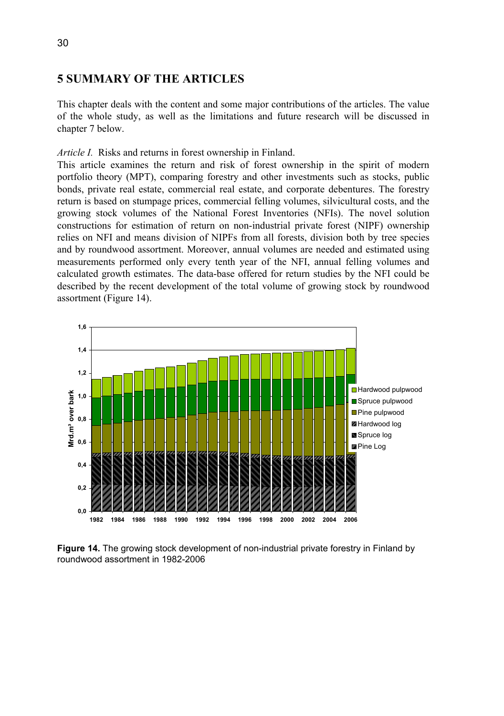## **5 SUMMARY OF THE ARTICLES**

This chapter deals with the content and some major contributions of the articles. The value of the whole study, as well as the limitations and future research will be discussed in chapter 7 below.

### *Article I.* Risks and returns in forest ownership in Finland.

This article examines the return and risk of forest ownership in the spirit of modern portfolio theory (MPT), comparing forestry and other investments such as stocks, public bonds, private real estate, commercial real estate, and corporate debentures. The forestry return is based on stumpage prices, commercial felling volumes, silvicultural costs, and the growing stock volumes of the National Forest Inventories (NFIs). The novel solution constructions for estimation of return on non-industrial private forest (NIPF) ownership relies on NFI and means division of NIPFs from all forests, division both by tree species and by roundwood assortment. Moreover, annual volumes are needed and estimated using measurements performed only every tenth year of the NFI, annual felling volumes and calculated growth estimates. The data-base offered for return studies by the NFI could be described by the recent development of the total volume of growing stock by roundwood assortment (Figure 14).



**Figure 14.** The growing stock development of non-industrial private forestry in Finland by roundwood assortment in 1982-2006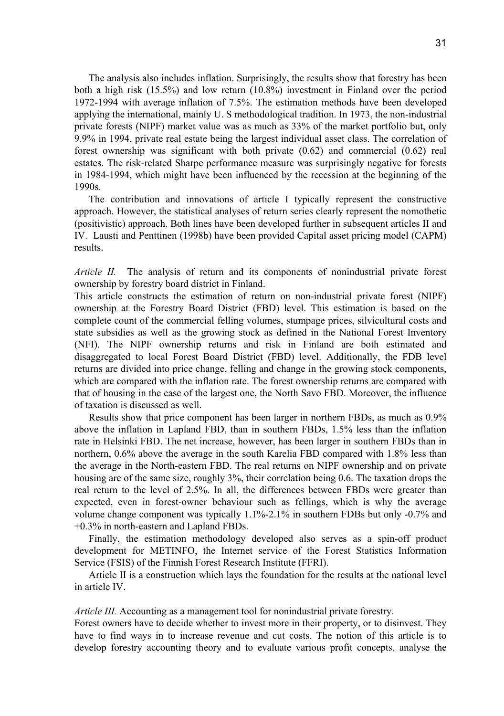The analysis also includes inflation. Surprisingly, the results show that forestry has been both a high risk (15.5%) and low return (10.8%) investment in Finland over the period 1972-1994 with average inflation of 7.5%. The estimation methods have been developed applying the international, mainly U. S methodological tradition. In 1973, the non-industrial private forests (NIPF) market value was as much as 33% of the market portfolio but, only 9.9% in 1994, private real estate being the largest individual asset class. The correlation of forest ownership was significant with both private (0.62) and commercial (0.62) real estates. The risk-related Sharpe performance measure was surprisingly negative for forests in 1984-1994, which might have been influenced by the recession at the beginning of the 1990s.

The contribution and innovations of article I typically represent the constructive approach. However, the statistical analyses of return series clearly represent the nomothetic (positivistic) approach. Both lines have been developed further in subsequent articles II and IV. Lausti and Penttinen (1998b) have been provided Capital asset pricing model (CAPM) results.

*Article II.* The analysis of return and its components of nonindustrial private forest ownership by forestry board district in Finland.

This article constructs the estimation of return on non-industrial private forest (NIPF) ownership at the Forestry Board District (FBD) level. This estimation is based on the complete count of the commercial felling volumes, stumpage prices, silvicultural costs and state subsidies as well as the growing stock as defined in the National Forest Inventory (NFI). The NIPF ownership returns and risk in Finland are both estimated and disaggregated to local Forest Board District (FBD) level. Additionally, the FDB level returns are divided into price change, felling and change in the growing stock components, which are compared with the inflation rate. The forest ownership returns are compared with that of housing in the case of the largest one, the North Savo FBD. Moreover, the influence of taxation is discussed as well.

Results show that price component has been larger in northern FBDs, as much as 0.9% above the inflation in Lapland FBD, than in southern FBDs, 1.5% less than the inflation rate in Helsinki FBD. The net increase, however, has been larger in southern FBDs than in northern, 0.6% above the average in the south Karelia FBD compared with 1.8% less than the average in the North-eastern FBD. The real returns on NIPF ownership and on private housing are of the same size, roughly 3%, their correlation being 0.6. The taxation drops the real return to the level of 2.5%. In all, the differences between FBDs were greater than expected, even in forest-owner behaviour such as fellings, which is why the average volume change component was typically 1.1%-2.1% in southern FDBs but only -0.7% and +0.3% in north-eastern and Lapland FBDs.

Finally, the estimation methodology developed also serves as a spin-off product development for METINFO, the Internet service of the Forest Statistics Information Service (FSIS) of the Finnish Forest Research Institute (FFRI).

Article II is a construction which lays the foundation for the results at the national level in article IV.

*Article III.* Accounting as a management tool for nonindustrial private forestry.

Forest owners have to decide whether to invest more in their property, or to disinvest. They have to find ways in to increase revenue and cut costs. The notion of this article is to develop forestry accounting theory and to evaluate various profit concepts, analyse the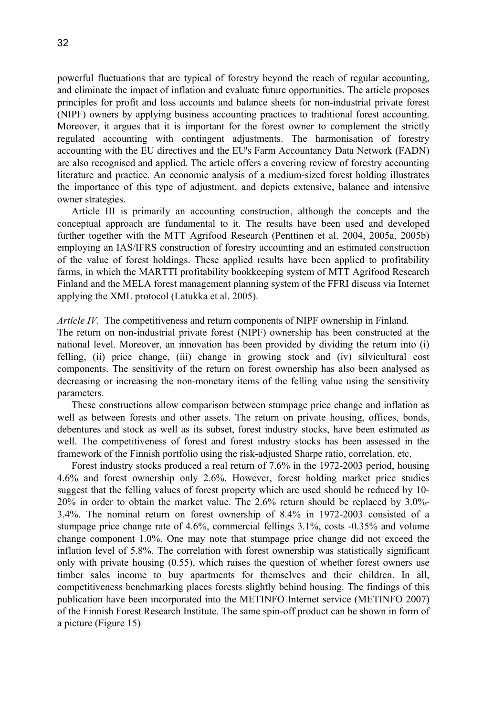powerful fluctuations that are typical of forestry beyond the reach of regular accounting, and eliminate the impact of inflation and evaluate future opportunities. The article proposes principles for profit and loss accounts and balance sheets for non-industrial private forest (NIPF) owners by applying business accounting practices to traditional forest accounting. Moreover, it argues that it is important for the forest owner to complement the strictly regulated accounting with contingent adjustments. The harmonisation of forestry accounting with the EU directives and the EU's Farm Accountancy Data Network (FADN) are also recognised and applied. The article offers a covering review of forestry accounting literature and practice. An economic analysis of a medium-sized forest holding illustrates the importance of this type of adjustment, and depicts extensive, balance and intensive owner strategies.

Article III is primarily an accounting construction, although the concepts and the conceptual approach are fundamental to it. The results have been used and developed further together with the MTT Agrifood Research (Penttinen et al. 2004, 2005a, 2005b) employing an IAS/IFRS construction of forestry accounting and an estimated construction of the value of forest holdings. These applied results have been applied to profitability farms, in which the MARTTI profitability bookkeeping system of MTT Agrifood Research Finland and the MELA forest management planning system of the FFRI discuss via Internet applying the XML protocol (Latukka et al. 2005).

*Article IV.* The competitiveness and return components of NIPF ownership in Finland.

The return on non-industrial private forest (NIPF) ownership has been constructed at the national level. Moreover, an innovation has been provided by dividing the return into (i) felling, (ii) price change, (iii) change in growing stock and (iv) silvicultural cost components. The sensitivity of the return on forest ownership has also been analysed as decreasing or increasing the non-monetary items of the felling value using the sensitivity parameters.

These constructions allow comparison between stumpage price change and inflation as well as between forests and other assets. The return on private housing, offices, bonds, debentures and stock as well as its subset, forest industry stocks, have been estimated as well. The competitiveness of forest and forest industry stocks has been assessed in the framework of the Finnish portfolio using the risk-adjusted Sharpe ratio, correlation, etc.

Forest industry stocks produced a real return of 7.6% in the 1972-2003 period, housing 4.6% and forest ownership only 2.6%. However, forest holding market price studies suggest that the felling values of forest property which are used should be reduced by 10- 20% in order to obtain the market value. The 2.6% return should be replaced by 3.0%- 3.4%. The nominal return on forest ownership of 8.4% in 1972-2003 consisted of a stumpage price change rate of 4.6%, commercial fellings 3.1%, costs -0.35% and volume change component 1.0%. One may note that stumpage price change did not exceed the inflation level of 5.8%. The correlation with forest ownership was statistically significant only with private housing (0.55), which raises the question of whether forest owners use timber sales income to buy apartments for themselves and their children. In all, competitiveness benchmarking places forests slightly behind housing. The findings of this publication have been incorporated into the METINFO Internet service (METINFO 2007) of the Finnish Forest Research Institute. The same spin-off product can be shown in form of a picture (Figure 15)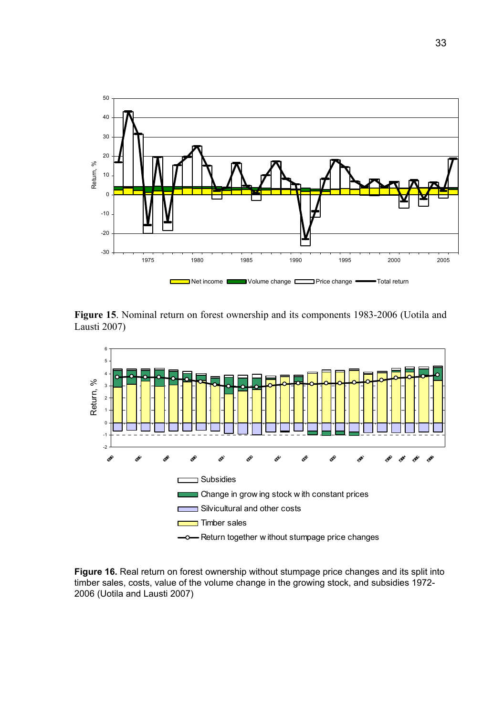

**Figure 15**. Nominal return on forest ownership and its components 1983-2006 (Uotila and Lausti 2007)



**Figure 16.** Real return on forest ownership without stumpage price changes and its split into timber sales, costs, value of the volume change in the growing stock, and subsidies 1972- 2006 (Uotila and Lausti 2007)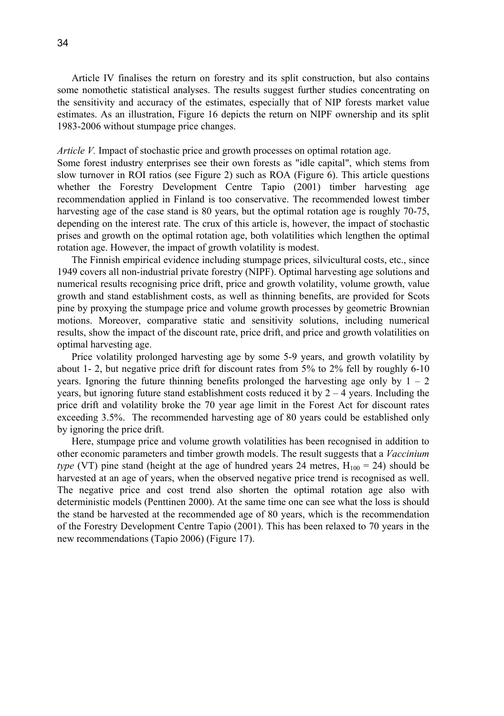Article IV finalises the return on forestry and its split construction, but also contains some nomothetic statistical analyses. The results suggest further studies concentrating on the sensitivity and accuracy of the estimates, especially that of NIP forests market value estimates. As an illustration, Figure 16 depicts the return on NIPF ownership and its split 1983-2006 without stumpage price changes.

### *Article V.* Impact of stochastic price and growth processes on optimal rotation age.

Some forest industry enterprises see their own forests as "idle capital", which stems from slow turnover in ROI ratios (see Figure 2) such as ROA (Figure 6). This article questions whether the Forestry Development Centre Tapio (2001) timber harvesting age recommendation applied in Finland is too conservative. The recommended lowest timber harvesting age of the case stand is 80 years, but the optimal rotation age is roughly 70-75, depending on the interest rate. The crux of this article is, however, the impact of stochastic prises and growth on the optimal rotation age, both volatilities which lengthen the optimal rotation age. However, the impact of growth volatility is modest.

The Finnish empirical evidence including stumpage prices, silvicultural costs, etc., since 1949 covers all non-industrial private forestry (NIPF). Optimal harvesting age solutions and numerical results recognising price drift, price and growth volatility, volume growth, value growth and stand establishment costs, as well as thinning benefits, are provided for Scots pine by proxying the stumpage price and volume growth processes by geometric Brownian motions. Moreover, comparative static and sensitivity solutions, including numerical results, show the impact of the discount rate, price drift, and price and growth volatilities on optimal harvesting age.

Price volatility prolonged harvesting age by some 5-9 years, and growth volatility by about 1- 2, but negative price drift for discount rates from 5% to 2% fell by roughly 6-10 years. Ignoring the future thinning benefits prolonged the harvesting age only by  $1 - 2$ years, but ignoring future stand establishment costs reduced it by  $2 - 4$  years. Including the price drift and volatility broke the 70 year age limit in the Forest Act for discount rates exceeding 3.5%. The recommended harvesting age of 80 years could be established only by ignoring the price drift.

Here, stumpage price and volume growth volatilities has been recognised in addition to other economic parameters and timber growth models. The result suggests that a *Vaccinium type* (VT) pine stand (height at the age of hundred years 24 metres,  $H_{100} = 24$ ) should be harvested at an age of years, when the observed negative price trend is recognised as well. The negative price and cost trend also shorten the optimal rotation age also with deterministic models (Penttinen 2000). At the same time one can see what the loss is should the stand be harvested at the recommended age of 80 years, which is the recommendation of the Forestry Development Centre Tapio (2001). This has been relaxed to 70 years in the new recommendations (Tapio 2006) (Figure 17).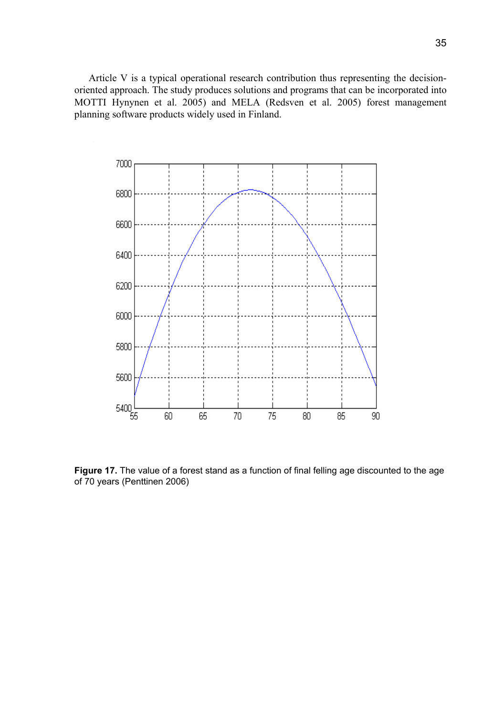Article V is a typical operational research contribution thus representing the decisionoriented approach. The study produces solutions and programs that can be incorporated into MOTTI Hynynen et al. 2005) and MELA (Redsven et al. 2005) forest management planning software products widely used in Finland.



**Figure 17.** The value of a forest stand as a function of final felling age discounted to the age of 70 years (Penttinen 2006)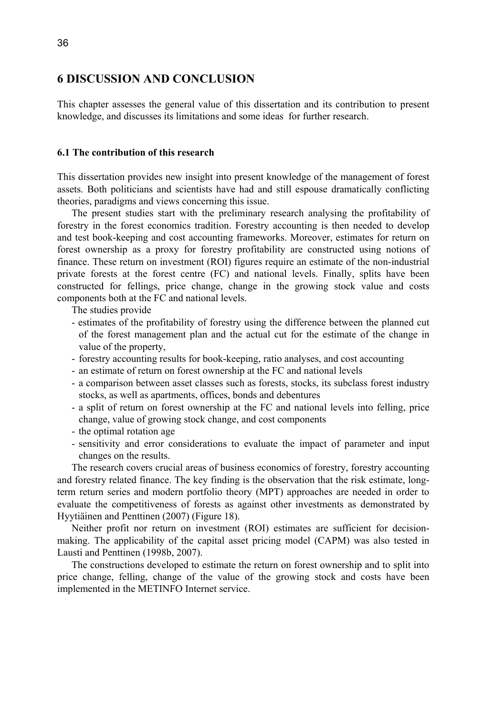# **6 DISCUSSION AND CONCLUSION**

This chapter assesses the general value of this dissertation and its contribution to present knowledge, and discusses its limitations and some ideas for further research.

### **6.1 The contribution of this research**

This dissertation provides new insight into present knowledge of the management of forest assets. Both politicians and scientists have had and still espouse dramatically conflicting theories, paradigms and views concerning this issue.

The present studies start with the preliminary research analysing the profitability of forestry in the forest economics tradition. Forestry accounting is then needed to develop and test book-keeping and cost accounting frameworks. Moreover, estimates for return on forest ownership as a proxy for forestry profitability are constructed using notions of finance. These return on investment (ROI) figures require an estimate of the non-industrial private forests at the forest centre (FC) and national levels. Finally, splits have been constructed for fellings, price change, change in the growing stock value and costs components both at the FC and national levels.

The studies provide

- estimates of the profitability of forestry using the difference between the planned cut of the forest management plan and the actual cut for the estimate of the change in value of the property,
- forestry accounting results for book-keeping, ratio analyses, and cost accounting
- an estimate of return on forest ownership at the FC and national levels
- a comparison between asset classes such as forests, stocks, its subclass forest industry stocks, as well as apartments, offices, bonds and debentures
- a split of return on forest ownership at the FC and national levels into felling, price change, value of growing stock change, and cost components
- the optimal rotation age
- sensitivity and error considerations to evaluate the impact of parameter and input changes on the results.

The research covers crucial areas of business economics of forestry, forestry accounting and forestry related finance. The key finding is the observation that the risk estimate, longterm return series and modern portfolio theory (MPT) approaches are needed in order to evaluate the competitiveness of forests as against other investments as demonstrated by Hyytiäinen and Penttinen (2007) (Figure 18).

Neither profit nor return on investment (ROI) estimates are sufficient for decisionmaking. The applicability of the capital asset pricing model (CAPM) was also tested in Lausti and Penttinen (1998b, 2007).

The constructions developed to estimate the return on forest ownership and to split into price change, felling, change of the value of the growing stock and costs have been implemented in the METINFO Internet service.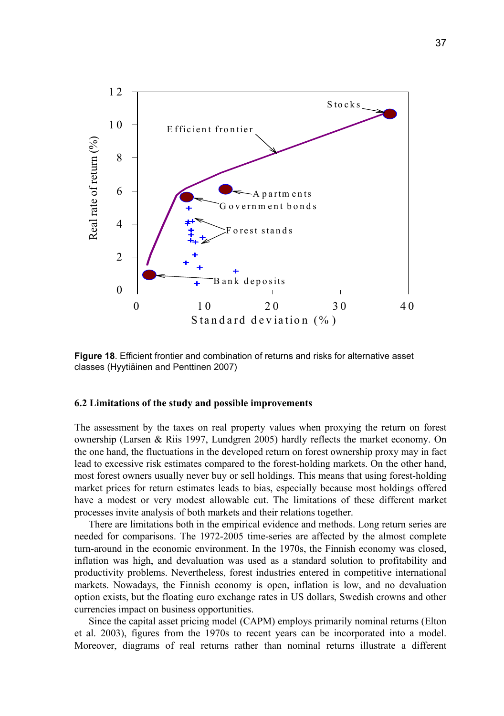

**Figure 18**. Efficient frontier and combination of returns and risks for alternative asset classes (Hyytiäinen and Penttinen 2007)

#### **6.2 Limitations of the study and possible improvements**

The assessment by the taxes on real property values when proxying the return on forest ownership (Larsen & Riis 1997, Lundgren 2005) hardly reflects the market economy. On the one hand, the fluctuations in the developed return on forest ownership proxy may in fact lead to excessive risk estimates compared to the forest-holding markets. On the other hand, most forest owners usually never buy or sell holdings. This means that using forest-holding market prices for return estimates leads to bias, especially because most holdings offered have a modest or very modest allowable cut. The limitations of these different market processes invite analysis of both markets and their relations together.

There are limitations both in the empirical evidence and methods. Long return series are needed for comparisons. The 1972-2005 time-series are affected by the almost complete turn-around in the economic environment. In the 1970s, the Finnish economy was closed, inflation was high, and devaluation was used as a standard solution to profitability and productivity problems. Nevertheless, forest industries entered in competitive international markets. Nowadays, the Finnish economy is open, inflation is low, and no devaluation option exists, but the floating euro exchange rates in US dollars, Swedish crowns and other currencies impact on business opportunities.

Since the capital asset pricing model (CAPM) employs primarily nominal returns (Elton et al. 2003), figures from the 1970s to recent years can be incorporated into a model. Moreover, diagrams of real returns rather than nominal returns illustrate a different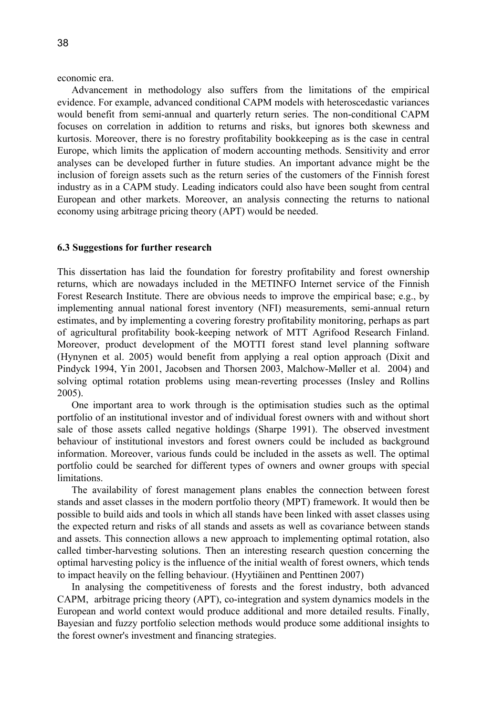economic era.

Advancement in methodology also suffers from the limitations of the empirical evidence. For example, advanced conditional CAPM models with heteroscedastic variances would benefit from semi-annual and quarterly return series. The non-conditional CAPM focuses on correlation in addition to returns and risks, but ignores both skewness and kurtosis. Moreover, there is no forestry profitability bookkeeping as is the case in central Europe, which limits the application of modern accounting methods. Sensitivity and error analyses can be developed further in future studies. An important advance might be the inclusion of foreign assets such as the return series of the customers of the Finnish forest industry as in a CAPM study. Leading indicators could also have been sought from central European and other markets. Moreover, an analysis connecting the returns to national economy using arbitrage pricing theory (APT) would be needed.

#### **6.3 Suggestions for further research**

This dissertation has laid the foundation for forestry profitability and forest ownership returns, which are nowadays included in the METINFO Internet service of the Finnish Forest Research Institute. There are obvious needs to improve the empirical base; e.g., by implementing annual national forest inventory (NFI) measurements, semi-annual return estimates, and by implementing a covering forestry profitability monitoring, perhaps as part of agricultural profitability book-keeping network of MTT Agrifood Research Finland. Moreover, product development of the MOTTI forest stand level planning software (Hynynen et al. 2005) would benefit from applying a real option approach (Dixit and Pindyck 1994, Yin 2001, Jacobsen and Thorsen 2003, Malchow-Møller et al. 2004) and solving optimal rotation problems using mean-reverting processes (Insley and Rollins 2005).

One important area to work through is the optimisation studies such as the optimal portfolio of an institutional investor and of individual forest owners with and without short sale of those assets called negative holdings (Sharpe 1991). The observed investment behaviour of institutional investors and forest owners could be included as background information. Moreover, various funds could be included in the assets as well. The optimal portfolio could be searched for different types of owners and owner groups with special limitations.

The availability of forest management plans enables the connection between forest stands and asset classes in the modern portfolio theory (MPT) framework. It would then be possible to build aids and tools in which all stands have been linked with asset classes using the expected return and risks of all stands and assets as well as covariance between stands and assets. This connection allows a new approach to implementing optimal rotation, also called timber-harvesting solutions. Then an interesting research question concerning the optimal harvesting policy is the influence of the initial wealth of forest owners, which tends to impact heavily on the felling behaviour. (Hyytiäinen and Penttinen 2007)

In analysing the competitiveness of forests and the forest industry, both advanced CAPM, arbitrage pricing theory (APT), co-integration and system dynamics models in the European and world context would produce additional and more detailed results. Finally, Bayesian and fuzzy portfolio selection methods would produce some additional insights to the forest owner's investment and financing strategies.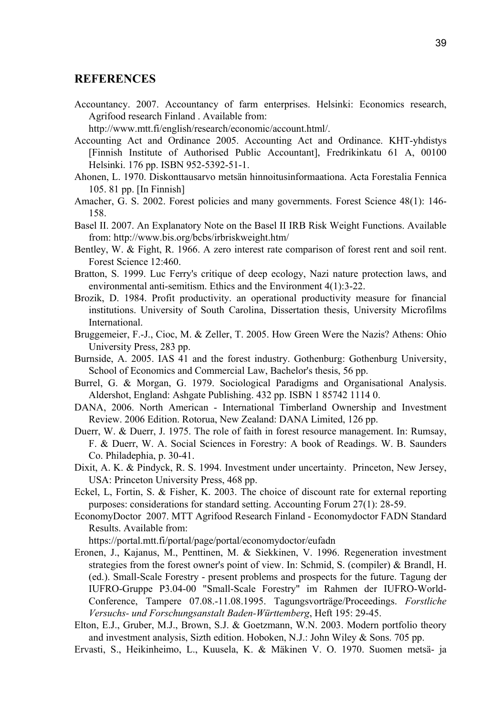### **REFERENCES**

Accountancy. 2007. Accountancy of farm enterprises. Helsinki: Economics research, Agrifood research Finland . Available from:

http://www.mtt.fi/english/research/economic/account.html/.

- Accounting Act and Ordinance 2005. Accounting Act and Ordinance. KHT-yhdistys [Finnish Institute of Authorised Public Accountant], Fredrikinkatu 61 A, 00100 Helsinki. 176 pp. ISBN 952-5392-51-1.
- Ahonen, L. 1970. Diskonttausarvo metsän hinnoitusinformaationa. Acta Forestalia Fennica 105. 81 pp. [In Finnish]
- Amacher, G. S. 2002. Forest policies and many governments. Forest Science 48(1): 146- 158.
- Basel II. 2007. An Explanatory Note on the Basel II IRB Risk Weight Functions. Available from: http://www.bis.org/bcbs/irbriskweight.htm/
- Bentley, W. & Fight, R. 1966. A zero interest rate comparison of forest rent and soil rent. Forest Science 12:460.
- Bratton, S. 1999. Luc Ferry's critique of deep ecology, Nazi nature protection laws, and environmental anti-semitism. Ethics and the Environment 4(1):3-22.
- Brozik, D. 1984. Profit productivity. an operational productivity measure for financial institutions. University of South Carolina, Dissertation thesis, University Microfilms International.
- Bruggemeier, F.-J., Cioc, M. & Zeller, T. 2005. How Green Were the Nazis? Athens: Ohio University Press, 283 pp.
- Burnside, A. 2005. IAS 41 and the forest industry. Gothenburg: Gothenburg University, School of Economics and Commercial Law, Bachelor's thesis, 56 pp.
- Burrel, G. & Morgan, G. 1979. Sociological Paradigms and Organisational Analysis. Aldershot, England: Ashgate Publishing. 432 pp. ISBN 1 85742 1114 0.
- DANA, 2006. North American International Timberland Ownership and Investment Review. 2006 Edition. Rotorua, New Zealand: DANA Limited, 126 pp.
- Duerr, W. & Duerr, J. 1975. The role of faith in forest resource management. In: Rumsay, F. & Duerr, W. A. Social Sciences in Forestry: A book of Readings. W. B. Saunders Co. Philadephia, p. 30-41.
- Dixit, A. K. & Pindyck, R. S. 1994. Investment under uncertainty. Princeton, New Jersey, USA: Princeton University Press, 468 pp.
- Eckel, L, Fortin, S. & Fisher, K. 2003. The choice of discount rate for external reporting purposes: considerations for standard setting. Accounting Forum 27(1): 28-59.
- EconomyDoctor 2007. MTT Agrifood Research Finland Economydoctor FADN Standard Results. Available from:

https://portal.mtt.fi/portal/page/portal/economydoctor/eufadn

- Eronen, J., Kajanus, M., Penttinen, M. & Siekkinen, V. 1996. Regeneration investment strategies from the forest owner's point of view. In: Schmid, S. (compiler) & Brandl, H. (ed.). Small-Scale Forestry - present problems and prospects for the future. Tagung der IUFRO-Gruppe P3.04-00 "Small-Scale Forestry" im Rahmen der IUFRO-World-Conference, Tampere 07.08.-11.08.1995. Tagungsvorträge/Proceedings. *Forstliche Versuchs- und Forschungsanstalt Baden-Württemberg*, Heft 195: 29-45.
- Elton, E.J., Gruber, M.J., Brown, S.J. & Goetzmann, W.N. 2003. Modern portfolio theory and investment analysis, Sizth edition. Hoboken, N.J.: John Wiley & Sons. 705 pp.

Ervasti, S., Heikinheimo, L., Kuusela, K. & Mäkinen V. O. 1970. Suomen metsä- ja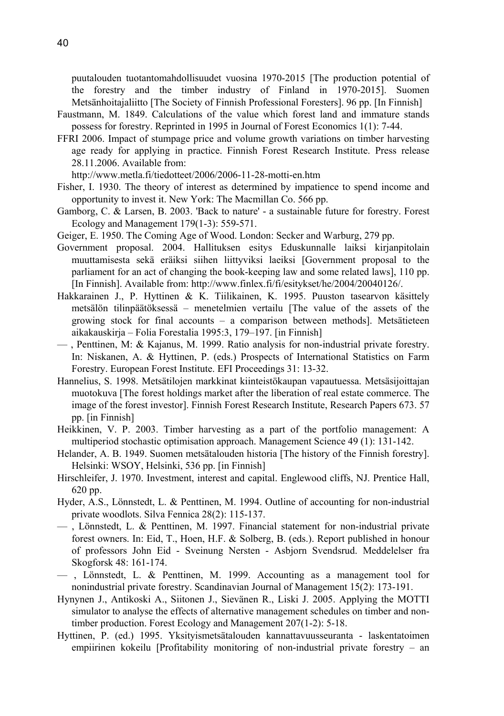puutalouden tuotantomahdollisuudet vuosina 1970-2015 [The production potential of the forestry and the timber industry of Finland in 1970-2015]. Suomen Metsänhoitajaliitto [The Society of Finnish Professional Foresters]. 96 pp. [In Finnish]

- Faustmann, M. 1849. Calculations of the value which forest land and immature stands possess for forestry. Reprinted in 1995 in Journal of Forest Economics 1(1): 7-44.
- FFRI 2006. Impact of stumpage price and volume growth variations on timber harvesting age ready for applying in practice. Finnish Forest Research Institute. Press release 28.11.2006. Available from:

http://www.metla.fi/tiedotteet/2006/2006-11-28-motti-en.htm

- Fisher, I. 1930. The theory of interest as determined by impatience to spend income and opportunity to invest it. New York: The Macmillan Co. 566 pp.
- Gamborg, C. & Larsen, B. 2003. 'Back to nature' a sustainable future for forestry. Forest Ecology and Management 179(1-3): 559-571.
- Geiger, E. 1950. The Coming Age of Wood. London: Secker and Warburg, 279 pp.
- Government proposal. 2004. Hallituksen esitys Eduskunnalle laiksi kirjanpitolain muuttamisesta sekä eräiksi siihen liittyviksi laeiksi [Government proposal to the parliament for an act of changing the book-keeping law and some related laws], 110 pp. [In Finnish]. Available from: http://www.finlex.fi/fi/esitykset/he/2004/20040126/.
- Hakkarainen J., P. Hyttinen & K. Tiilikainen, K. 1995. Puuston tasearvon käsittely metsälön tilinpäätöksessä – menetelmien vertailu [The value of the assets of the growing stock for final accounts – a comparison between methods]. Metsätieteen aikakauskirja – Folia Forestalia 1995:3, 179–197. [in Finnish]
- , Penttinen, M: & Kajanus, M. 1999. Ratio analysis for non-industrial private forestry. In: Niskanen, A. & Hyttinen, P. (eds.) Prospects of International Statistics on Farm Forestry. European Forest Institute. EFI Proceedings 31: 13-32.
- Hannelius, S. 1998. Metsätilojen markkinat kiinteistökaupan vapautuessa. Metsäsijoittajan muotokuva [The forest holdings market after the liberation of real estate commerce. The image of the forest investor]. Finnish Forest Research Institute, Research Papers 673. 57 pp. [in Finnish]
- Heikkinen, V. P. 2003. Timber harvesting as a part of the portfolio management: A multiperiod stochastic optimisation approach. Management Science 49 (1): 131-142.
- Helander, A. B. 1949. Suomen metsätalouden historia [The history of the Finnish forestry]. Helsinki: WSOY, Helsinki, 536 pp. [in Finnish]
- Hirschleifer, J. 1970. Investment, interest and capital. Englewood cliffs, NJ. Prentice Hall, 620 pp.
- Hyder, A.S., Lönnstedt, L. & Penttinen, M. 1994. Outline of accounting for non-industrial private woodlots. Silva Fennica 28(2): 115-137.
- , Lönnstedt, L. & Penttinen, M. 1997. Financial statement for non-industrial private forest owners. In: Eid, T., Hoen, H.F. & Solberg, B. (eds.). Report published in honour of professors John Eid - Sveinung Nersten - Asbjorn Svendsrud. Meddelelser fra Skogforsk 48: 161-174.
- , Lönnstedt, L. & Penttinen, M. 1999. Accounting as a management tool for nonindustrial private forestry. Scandinavian Journal of Management 15(2): 173-191.
- Hynynen J., Antikoski A., Siitonen J., Sievänen R., Liski J. 2005. Applying the MOTTI simulator to analyse the effects of alternative management schedules on timber and nontimber production. Forest Ecology and Management 207(1-2): 5-18.
- Hyttinen, P. (ed.) 1995. Yksityismetsätalouden kannattavuusseuranta laskentatoimen empiirinen kokeilu [Profitability monitoring of non-industrial private forestry – an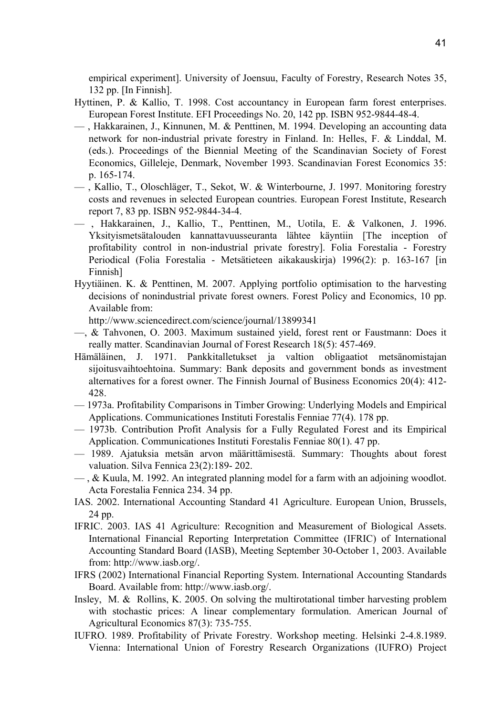empirical experiment]. University of Joensuu, Faculty of Forestry, Research Notes 35, 132 pp. [In Finnish].

- Hyttinen, P. & Kallio, T. 1998. Cost accountancy in European farm forest enterprises. European Forest Institute. EFI Proceedings No. 20, 142 pp. ISBN 952-9844-48-4.
- , Hakkarainen, J., Kinnunen, M. & Penttinen, M. 1994. Developing an accounting data network for non-industrial private forestry in Finland. In: Helles, F. & Linddal, M. (eds.). Proceedings of the Biennial Meeting of the Scandinavian Society of Forest Economics, Gilleleje, Denmark, November 1993. Scandinavian Forest Economics 35: p. 165-174.
- , Kallio, T., Oloschläger, T., Sekot, W. & Winterbourne, J. 1997. Monitoring forestry costs and revenues in selected European countries. European Forest Institute, Research report 7, 83 pp. ISBN 952-9844-34-4.
- , Hakkarainen, J., Kallio, T., Penttinen, M., Uotila, E. & Valkonen, J. 1996. Yksityismetsätalouden kannattavuusseuranta lähtee käyntiin [The inception of profitability control in non-industrial private forestry]. Folia Forestalia - Forestry Periodical (Folia Forestalia - Metsätieteen aikakauskirja) 1996(2): p. 163-167 [in Finnish]
- Hyytiäinen. K. & Penttinen, M. 2007. Applying portfolio optimisation to the harvesting decisions of nonindustrial private forest owners. Forest Policy and Economics, 10 pp. Available from:

http://www.sciencedirect.com/science/journal/13899341

- —, & Tahvonen, O. 2003. Maximum sustained yield, forest rent or Faustmann: Does it really matter. Scandinavian Journal of Forest Research 18(5): 457-469.
- Hämäläinen, J. 1971. Pankkitalletukset ja valtion obligaatiot metsänomistajan sijoitusvaihtoehtoina. Summary: Bank deposits and government bonds as investment alternatives for a forest owner. The Finnish Journal of Business Economics 20(4): 412- 428.
- 1973a. Profitability Comparisons in Timber Growing: Underlying Models and Empirical Applications. Communicationes Instituti Forestalis Fenniae 77(4). 178 pp.
- 1973b. Contribution Profit Analysis for a Fully Regulated Forest and its Empirical Application. Communicationes Instituti Forestalis Fenniae 80(1). 47 pp.
- 1989. Ajatuksia metsän arvon määrittämisestä. Summary: Thoughts about forest valuation. Silva Fennica 23(2):189- 202.
- $\sim$ , & Kuula, M. 1992. An integrated planning model for a farm with an adjoining woodlot. Acta Forestalia Fennica 234. 34 pp.
- IAS. 2002. International Accounting Standard 41 Agriculture. European Union, Brussels, 24 pp.
- IFRIC. 2003. IAS 41 Agriculture: Recognition and Measurement of Biological Assets. International Financial Reporting Interpretation Committee (IFRIC) of International Accounting Standard Board (IASB), Meeting September 30-October 1, 2003. Available from: http://www.iasb.org/.
- IFRS (2002) International Financial Reporting System. International Accounting Standards Board. Available from: http://www.iasb.org/.
- Insley, M. & Rollins, K. 2005. On solving the multirotational timber harvesting problem with stochastic prices: A linear complementary formulation. American Journal of Agricultural Economics 87(3): 735-755.
- IUFRO. 1989. Profitability of Private Forestry. Workshop meeting. Helsinki 2-4.8.1989. Vienna: International Union of Forestry Research Organizations (IUFRO) Project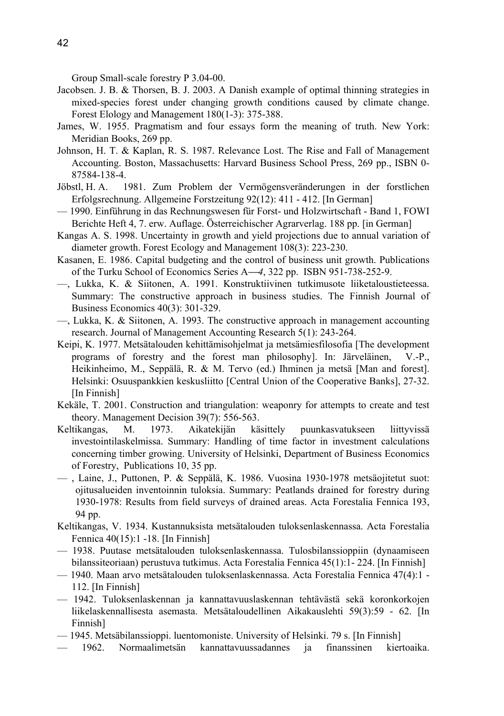Group Small-scale forestry P 3.04-00.

- Jacobsen. J. B. & Thorsen, B. J. 2003. A Danish example of optimal thinning strategies in mixed-species forest under changing growth conditions caused by climate change. Forest Elology and Management 180(1-3): 375-388.
- James, W. 1955. Pragmatism and four essays form the meaning of truth. New York: Meridian Books, 269 pp.
- Johnson, H. T. & Kaplan, R. S. 1987. Relevance Lost. The Rise and Fall of Management Accounting. Boston, Massachusetts: Harvard Business School Press, 269 pp., ISBN 0- 87584-138-4.
- Jöbstl, H. A. 1981. Zum Problem der Vermögensveränderungen in der forstlichen Erfolgsrechnung. Allgemeine Forstzeitung 92(12): 411 - 412. [In German]
- 1990. Einführung in das Rechnungswesen für Forst- und Holzwirtschaft Band 1, FOWI Berichte Heft 4, 7. erw. Auflage. Österreichischer Agrarverlag. 188 pp. [in German]
- Kangas A. S. 1998. Uncertainty in growth and yield projections due to annual variation of diameter growth. Forest Ecology and Management 108(3): 223-230.
- Kasanen, E. 1986. Capital budgeting and the control of business unit growth. Publications of the Turku School of Economics Series A⎯*4*, 322 pp. ISBN 951-738-252-9.
- —, Lukka, K. & Siitonen, A. 1991. Konstruktiivinen tutkimusote liiketaloustieteessa. Summary: The constructive approach in business studies. The Finnish Journal of Business Economics 40(3): 301-329.
- —, Lukka, K. & Siitonen, A. 1993. The constructive approach in management accounting research. Journal of Management Accounting Research 5(1): 243-264.
- Keipi, K. 1977. Metsätalouden kehittämisohjelmat ja metsämiesfilosofia [The development programs of forestry and the forest man philosophy]. In: Järveläinen, V.-P., Heikinheimo, M., Seppälä, R. & M. Tervo (ed.) Ihminen ja metsä [Man and forest]. Helsinki: Osuuspankkien keskusliitto [Central Union of the Cooperative Banks], 27-32. [In Finnish]
- Kekäle, T. 2001. Construction and triangulation: weaponry for attempts to create and test theory. Management Decision 39(7): 556-563.
- Keltikangas, M. 1973. Aikatekijän käsittely puunkasvatukseen liittyvissä investointilaskelmissa. Summary: Handling of time factor in investment calculations concerning timber growing. University of Helsinki, Department of Business Economics of Forestry, Publications 10, 35 pp.
- , Laine, J., Puttonen, P. & Seppälä, K. 1986. Vuosina 1930-1978 metsäojitetut suot: ojitusalueiden inventoinnin tuloksia. Summary: Peatlands drained for forestry during 1930-1978: Results from field surveys of drained areas. Acta Forestalia Fennica 193, 94 pp.
- Keltikangas, V. 1934. Kustannuksista metsätalouden tuloksenlaskennassa. Acta Forestalia Fennica 40(15):1 -18. [In Finnish]
- 1938. Puutase metsätalouden tuloksenlaskennassa. Tulosbilanssioppiin (dynaamiseen bilanssiteoriaan) perustuva tutkimus. Acta Forestalia Fennica 45(1):1- 224. [In Finnish]
- 1940. Maan arvo metsätalouden tuloksenlaskennassa. Acta Forestalia Fennica 47(4):1 112. [In Finnish]
- 1942. Tuloksenlaskennan ja kannattavuuslaskennan tehtävästä sekä koronkorkojen liikelaskennallisesta asemasta. Metsätaloudellinen Aikakauslehti 59(3):59 - 62. [In Finnish]
- 1945. Metsäbilanssioppi. luentomoniste. University of Helsinki. 79 s. [In Finnish]
- 1962. Normaalimetsän kannattavuussadannes ja finanssinen kiertoaika.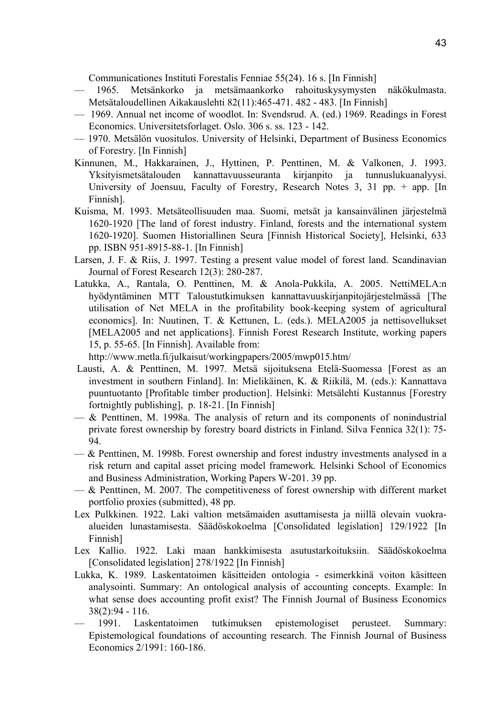Communicationes Instituti Forestalis Fenniae 55(24). 16 s. [In Finnish]

- 1965. Metsänkorko ja metsämaankorko rahoituskysymysten näkökulmasta. Metsätaloudellinen Aikakauslehti 82(11):465-471. 482 - 483. [In Finnish]
- 1969. Annual net income of woodlot. In: Svendsrud. A. (ed.) 1969. Readings in Forest Economics. Universitetsforlaget. Oslo. 306 s. ss. 123 - 142.
- 1970. Metsälön vuositulos. University of Helsinki, Department of Business Economics of Forestry. [In Finnish]
- Kinnunen, M., Hakkarainen, J., Hyttinen, P. Penttinen, M. & Valkonen, J. 1993. Yksityismetsätalouden kannattavuusseuranta kirjanpito ja tunnuslukuanalyysi. University of Joensuu, Faculty of Forestry, Research Notes 3, 31 pp. + app. [In Finnish].
- Kuisma, M. 1993. Metsäteollisuuden maa. Suomi, metsät ja kansainvälinen järjestelmä 1620-1920 [The land of forest industry. Finland, forests and the international system 1620-1920]. Suomen Historiallinen Seura [Finnish Historical Society], Helsinki, 633 pp. ISBN 951-8915-88-1. [In Finnish]
- Larsen, J. F. & Riis, J. 1997. Testing a present value model of forest land. Scandinavian Journal of Forest Research 12(3): 280-287.
- Latukka, A., Rantala, O. Penttinen, M. & Anola-Pukkila, A. 2005. NettiMELA:n hyödyntäminen MTT Taloustutkimuksen kannattavuuskirjanpitojärjestelmässä [The utilisation of Net MELA in the profitability book-keeping system of agricultural economics]. In: Nuutinen, T. & Kettunen, L. (eds.). MELA2005 ja nettisovellukset [MELA2005 and net applications]. Finnish Forest Research Institute, working papers 15, p. 55-65. [In Finnish]. Available from:

http://www.metla.fi/julkaisut/workingpapers/2005/mwp015.htm/

- Lausti, A. & Penttinen, M. 1997. Metsä sijoituksena Etelä-Suomessa [Forest as an investment in southern Finland]. In: Mielikäinen, K. & Riikilä, M. (eds.): Kannattava puuntuotanto [Profitable timber production]. Helsinki: Metsälehti Kustannus [Forestry fortnightly publishing], p. 18-21. [In Finnish]
- $-\infty$  Penttinen, M. 1998a. The analysis of return and its components of nonindustrial private forest ownership by forestry board districts in Finland. Silva Fennica 32(1): 75- 94.
- $-\&$  Penttinen, M. 1998b. Forest ownership and forest industry investments analysed in a risk return and capital asset pricing model framework*.* Helsinki School of Economics and Business Administration, Working Papers W-201. 39 pp.
- $-\&$  Penttinen, M. 2007. The competitiveness of forest ownership with different market portfolio proxies (submitted), 48 pp.
- Lex Pulkkinen. 1922. Laki valtion metsämaiden asuttamisesta ja niillä olevain vuokraalueiden lunastamisesta. Säädöskokoelma [Consolidated legislation] 129/1922 [In Finnish]
- Lex Kallio. 1922. Laki maan hankkimisesta asutustarkoituksiin. Säädöskokoelma [Consolidated legislation] 278/1922 [In Finnish]
- Lukka, K. 1989. Laskentatoimen käsitteiden ontologia esimerkkinä voiton käsitteen analysointi. Summary: An ontological analysis of accounting concepts. Example: In what sense does accounting profit exist? The Finnish Journal of Business Economics 38(2):94 - 116.
- 1991. Laskentatoimen tutkimuksen epistemologiset perusteet. Summary: Epistemological foundations of accounting research. The Finnish Journal of Business Economics 2/1991: 160-186.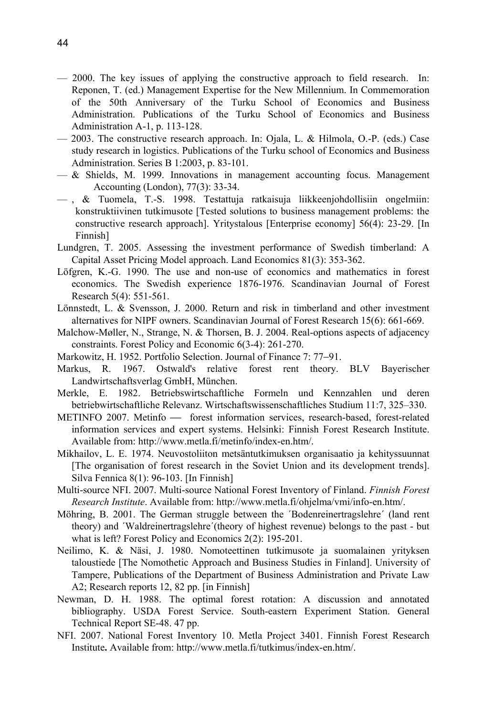- $-$  2000. The key issues of applying the constructive approach to field research. In: Reponen, T. (ed.) Management Expertise for the New Millennium. In Commemoration of the 50th Anniversary of the Turku School of Economics and Business Administration. Publications of the Turku School of Economics and Business Administration A-1, p. 113-128.
- 2003. The constructive research approach. In: Ojala, L. & Hilmola, O.-P. (eds.) Case study research in logistics. Publications of the Turku school of Economics and Business Administration. Series B 1:2003, p. 83-101.
- $-\&$  Shields, M. 1999. Innovations in management accounting focus. Management Accounting (London), 77(3): 33-34.
- $-$ , & Tuomela, T.-S. 1998. Testattuja ratkaisuja liikkeenjohdollisiin ongelmiin: konstruktiivinen tutkimusote [Tested solutions to business management problems: the constructive research approach]. Yritystalous [Enterprise economy] 56(4): 23-29. [In Finnish]
- Lundgren, T. 2005. Assessing the investment performance of Swedish timberland: A Capital Asset Pricing Model approach. Land Economics 81(3): 353-362.
- Löfgren, K.-G. 1990. The use and non-use of economics and mathematics in forest economics. The Swedish experience 1876-1976. Scandinavian Journal of Forest Research 5(4): 551-561.
- Lönnstedt, L. & Svensson, J. 2000. Return and risk in timberland and other investment alternatives for NIPF owners. Scandinavian Journal of Forest Research 15(6): 661-669.
- Malchow-Møller, N., Strange, N. & Thorsen, B. J. 2004. Real-options aspects of adjacency constraints. Forest Policy and Economic 6(3-4): 261-270.
- Markowitz, H. 1952. Portfolio Selection. Journal of Finance 7: 77−91.
- Markus, R. 1967. Ostwald's relative forest rent theory. BLV Bayerischer Landwirtschaftsverlag GmbH, München.
- Merkle, E. 1982. Betriebswirtschaftliche Formeln und Kennzahlen und deren betriebwirtschaftliche Relevanz. Wirtschaftswissenschaftliches Studium 11:7, 325–330.
- METINFO 2007. Metinfo — forest information services, research-based, forest-related information services and expert systems. Helsinki: Finnish Forest Research Institute. Available from: http://www.metla.fi/metinfo/index-en.htm/.
- Mikhailov, L. E. 1974. Neuvostoliiton metsäntutkimuksen organisaatio ja kehityssuunnat [The organisation of forest research in the Soviet Union and its development trends]. Silva Fennica 8(1): 96-103. [In Finnish]
- Multi-source NFI. 2007. Multi-source National Forest Inventory of Finland. *Finnish Forest Research Institute*. Available from: http://www.metla.fi/ohjelma/vmi/info-en.htm/.
- Möhring, B. 2001. The German struggle between the ´Bodenreinertragslehre´ (land rent theory) and ´Waldreinertragslehre´(theory of highest revenue) belongs to the past - but what is left? Forest Policy and Economics 2(2): 195-201.
- Neilimo, K. & Näsi, J. 1980. Nomoteettinen tutkimusote ja suomalainen yrityksen taloustiede [The Nomothetic Approach and Business Studies in Finland]. University of Tampere, Publications of the Department of Business Administration and Private Law A2; Research reports 12, 82 pp. [in Finnish]
- Newman, D. H. 1988. The optimal forest rotation: A discussion and annotated bibliography. USDA Forest Service. South-eastern Experiment Station. General Technical Report SE-48. 47 pp.
- NFI. 2007. National Forest Inventory 10. Metla Project 3401. Finnish Forest Research Institute**.** Available from: http://www.metla.fi/tutkimus/index-en.htm/.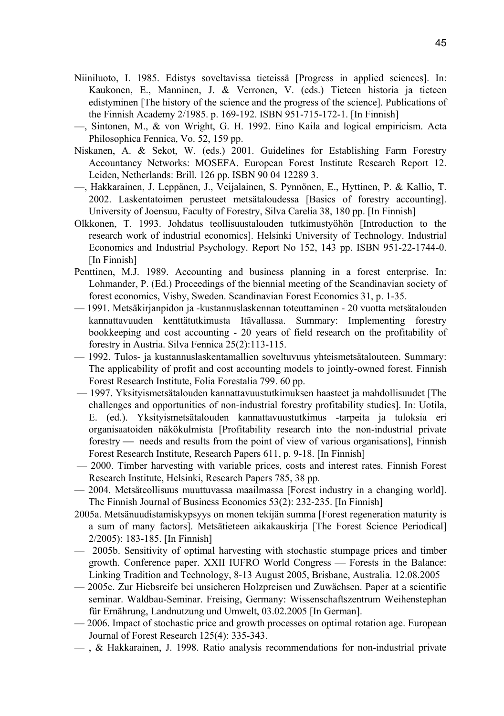- Niiniluoto, I. 1985. Edistys soveltavissa tieteissä [Progress in applied sciences]. In: Kaukonen, E., Manninen, J. & Verronen, V. (eds.) Tieteen historia ja tieteen edistyminen [The history of the science and the progress of the science]. Publications of the Finnish Academy 2/1985. p. 169-192. ISBN 951-715-172-1. [In Finnish]
- —, Sintonen, M., & von Wright, G. H. 1992. Eino Kaila and logical empiricism. Acta Philosophica Fennica, Vo. 52, 159 pp.
- Niskanen, A. & Sekot, W. (eds.) 2001. Guidelines for Establishing Farm Forestry Accountancy Networks: MOSEFA. European Forest Institute Research Report 12. Leiden, Netherlands: Brill. 126 pp. ISBN 90 04 12289 3.
- —, Hakkarainen, J. Leppänen, J., Veijalainen, S. Pynnönen, E., Hyttinen, P. & Kallio, T. 2002. Laskentatoimen perusteet metsätaloudessa [Basics of forestry accounting]. University of Joensuu, Faculty of Forestry, Silva Carelia 38, 180 pp. [In Finnish]
- Olkkonen, T. 1993. Johdatus teollisuustalouden tutkimustyöhön [Introduction to the research work of industrial economics]. Helsinki University of Technology. Industrial Economics and Industrial Psychology. Report No 152, 143 pp. ISBN 951-22-1744-0. [In Finnish]
- Penttinen, M.J. 1989. Accounting and business planning in a forest enterprise. In: Lohmander, P. (Ed.) Proceedings of the biennial meeting of the Scandinavian society of forest economics, Visby, Sweden. Scandinavian Forest Economics 31, p. 1-35.
- 1991. Metsäkirjanpidon ja -kustannuslaskennan toteuttaminen 20 vuotta metsätalouden kannattavuuden kenttätutkimusta Itävallassa. Summary: Implementing forestry bookkeeping and cost accounting - 20 years of field research on the profitability of forestry in Austria. Silva Fennica 25(2):113-115.
- 1992. Tulos- ja kustannuslaskentamallien soveltuvuus yhteismetsätalouteen. Summary: The applicability of profit and cost accounting models to jointly-owned forest. Finnish Forest Research Institute, Folia Forestalia 799. 60 pp.
- 1997. Yksityismetsätalouden kannattavuustutkimuksen haasteet ja mahdollisuudet [The challenges and opportunities of non-industrial forestry profitability studies]. In: Uotila, E. (ed.). Yksityismetsätalouden kannattavuustutkimus -tarpeita ja tuloksia eri organisaatoiden näkökulmista [Profitability research into the non-industrial private forestry — needs and results from the point of view of various organisations], Finnish Forest Research Institute, Research Papers 611, p. 9-18. [In Finnish]
- 2000. Timber harvesting with variable prices, costs and interest rates. Finnish Forest Research Institute, Helsinki, Research Papers 785, 38 pp*.*
- 2004. Metsäteollisuus muuttuvassa maailmassa [Forest industry in a changing world]. The Finnish Journal of Business Economics 53(2): 232-235. [In Finnish]
- 2005a. Metsänuudistamiskypsyys on monen tekijän summa [Forest regeneration maturity is a sum of many factors]. Metsätieteen aikakauskirja [The Forest Science Periodical] 2/2005): 183-185. [In Finnish]
- 2005b. Sensitivity of optimal harvesting with stochastic stumpage prices and timber growth. Conference paper. XXII IUFRO World Congress — Forests in the Balance: Linking Tradition and Technology, 8-13 August 2005, Brisbane, Australia. 12.08.2005
- 2005c. Zur Hiebsreife bei unsicheren Holzpreisen und Zuwächsen. Paper at a scientific seminar. Waldbau-Seminar. Freising, Germany: Wissenschaftszentrum Weihenstephan für Ernährung, Landnutzung und Umwelt, 03.02.2005 [In German].
- 2006. Impact of stochastic price and growth processes on optimal rotation age. European Journal of Forest Research 125(4): 335-343.
- , & Hakkarainen, J. 1998. Ratio analysis recommendations for non-industrial private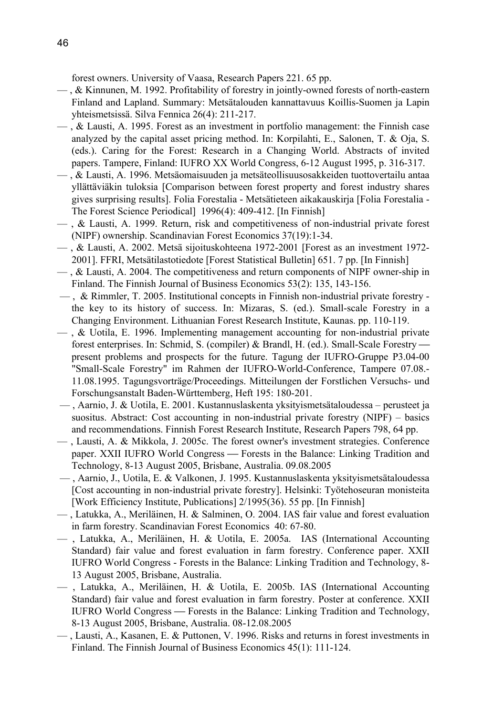forest owners. University of Vaasa, Research Papers 221. 65 pp.

- , & Kinnunen, M. 1992. Profitability of forestry in jointly-owned forests of north-eastern Finland and Lapland. Summary: Metsätalouden kannattavuus Koillis-Suomen ja Lapin yhteismetsissä. Silva Fennica 26(4): 211-217.
- $\sim$ , & Lausti, A. 1995. Forest as an investment in portfolio management: the Finnish case analyzed by the capital asset pricing method. In: Korpilahti, E., Salonen, T. & Oja, S. (eds.). Caring for the Forest: Research in a Changing World. Abstracts of invited papers. Tampere, Finland: IUFRO XX World Congress, 6-12 August 1995, p. 316-317.
- , & Lausti, A. 1996. Metsäomaisuuden ja metsäteollisuusosakkeiden tuottovertailu antaa yllättäviäkin tuloksia [Comparison between forest property and forest industry shares gives surprising results]. Folia Forestalia - Metsätieteen aikakauskirja [Folia Forestalia - The Forest Science Periodical] 1996(4): 409-412. [In Finnish]
- , & Lausti, A. 1999. Return, risk and competitiveness of non-industrial private forest (NIPF) ownership. Scandinavian Forest Economics 37(19):1-34.
- , & Lausti, A. 2002. Metsä sijoituskohteena 1972-2001 [Forest as an investment 1972- 2001]. FFRI, Metsätilastotiedote [Forest Statistical Bulletin] 651. 7 pp. [In Finnish]
- , & Lausti, A. 2004. The competitiveness and return components of NIPF owner-ship in Finland. The Finnish Journal of Business Economics 53(2): 135, 143-156.
- , & Rimmler, T. 2005. Institutional concepts in Finnish non-industrial private forestry the key to its history of success. In: Mizaras, S. (ed.). Small-scale Forestry in a Changing Environment. Lithuanian Forest Research Institute, Kaunas. pp. 110-119.
- , & Uotila, E. 1996. Implementing management accounting for non-industrial private forest enterprises. In: Schmid, S. (compiler) & Brandl, H. (ed.). Small-Scale Forestry present problems and prospects for the future. Tagung der IUFRO-Gruppe P3.04-00 "Small-Scale Forestry" im Rahmen der IUFRO-World-Conference, Tampere 07.08.- 11.08.1995. Tagungsvorträge/Proceedings. Mitteilungen der Forstlichen Versuchs- und Forschungsanstalt Baden-Württemberg, Heft 195: 180-201.
- , Aarnio, J. & Uotila, E. 2001. Kustannuslaskenta yksityismetsätaloudessa perusteet ja suositus. Abstract: Cost accounting in non-industrial private forestry (NIPF) – basics and recommendations. Finnish Forest Research Institute, Research Papers 798, 64 pp.
- , Lausti, A. & Mikkola, J. 2005c. The forest owner's investment strategies. Conference paper. XXII IUFRO World Congress — Forests in the Balance: Linking Tradition and Technology, 8-13 August 2005, Brisbane, Australia. 09.08.2005
- , Aarnio, J., Uotila, E. & Valkonen, J. 1995. Kustannuslaskenta yksityismetsätaloudessa [Cost accounting in non-industrial private forestry]. Helsinki: Työtehoseuran monisteita [Work Efficiency Institute, Publications] 2/1995(36). 55 pp. [In Finnish]
- , Latukka, A., Meriläinen, H. & Salminen, O. 2004. IAS fair value and forest evaluation in farm forestry. Scandinavian Forest Economics 40: 67-80.
- , Latukka, A., Meriläinen, H. & Uotila, E. 2005a. IAS (International Accounting Standard) fair value and forest evaluation in farm forestry. Conference paper. XXII IUFRO World Congress - Forests in the Balance: Linking Tradition and Technology, 8- 13 August 2005, Brisbane, Australia.
- , Latukka, A., Meriläinen, H. & Uotila, E. 2005b. IAS (International Accounting Standard) fair value and forest evaluation in farm forestry. Poster at conference. XXII IUFRO World Congress — Forests in the Balance: Linking Tradition and Technology, 8-13 August 2005, Brisbane, Australia. 08-12.08.2005
- , Lausti, A., Kasanen, E. & Puttonen, V. 1996. Risks and returns in forest investments in Finland. The Finnish Journal of Business Economics 45(1): 111-124.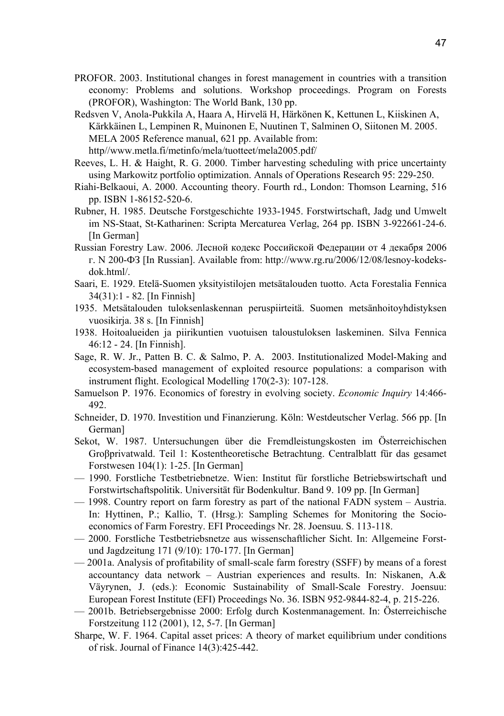- PROFOR. 2003. Institutional changes in forest management in countries with a transition economy: Problems and solutions. Workshop proceedings. Program on Forests (PROFOR), Washington: The World Bank, 130 pp.
- Redsven V, Anola-Pukkila A, Haara A, Hirvelä H, Härkönen K, Kettunen L, Kiiskinen A, Kärkkäinen L, Lempinen R, Muinonen E, Nuutinen T, Salminen O, Siitonen M. 2005. MELA 2005 Reference manual, 621 pp. Available from: http//www.metla.fi/metinfo/mela/tuotteet/mela2005.pdf/
- Reeves, L. H. & Haight, R. G. 2000. Timber harvesting scheduling with price uncertainty using Markowitz portfolio optimization. Annals of Operations Research 95: 229-250.
- Riahi-Belkaoui, A. 2000. Accounting theory. Fourth rd., London: Thomson Learning, 516 pp. ISBN 1-86152-520-6.
- Rubner, H. 1985. Deutsche Forstgeschichte 1933-1945. Forstwirtschaft, Jadg und Umwelt im NS-Staat, St-Katharinen: Scripta Mercaturea Verlag, 264 pp. ISBN 3-922661-24-6. [In German]
- Russian Forestry Law. 2006. Лесной кодекс Российской Федерации от 4 декабря 2006 г. N 200-ФЗ [In Russian]. Available from: http://www.rg.ru/2006/12/08/lesnoy-kodeksdok.html/.
- Saari, E. 1929. Etelä-Suomen yksityistilojen metsätalouden tuotto. Acta Forestalia Fennica 34(31):1 - 82. [In Finnish]
- 1935. Metsätalouden tuloksenlaskennan peruspiirteitä. Suomen metsänhoitoyhdistyksen vuosikirja. 38 s. [In Finnish]
- 1938. Hoitoalueiden ja piirikuntien vuotuisen taloustuloksen laskeminen. Silva Fennica 46:12 - 24. [In Finnish].
- Sage, R. W. Jr., Patten B. C. & Salmo, P. A. 2003. Institutionalized Model-Making and ecosystem-based management of exploited resource populations: a comparison with instrument flight. Ecological Modellin*g* 170(2-3): 107-128.
- Samuelson P. 1976. Economics of forestry in evolving society. *Economic Inquiry* 14:466- 492.
- Schneider, D. 1970. Investition und Finanzierung. Köln: Westdeutscher Verlag. 566 pp. [In German]
- Sekot, W. 1987. Untersuchungen über die Fremdleistungskosten im Österreichischen Groβprivatwald. Teil 1: Kostentheoretische Betrachtung. Centralblatt für das gesamet Forstwesen 104(1): 1-25. [In German]
- 1990. Forstliche Testbetriebnetze. Wien: Institut für forstliche Betriebswirtschaft und Forstwirtschaftspolitik. Universität für Bodenkultur. Band 9. 109 pp. [In German]
- 1998. Country report on farm forestry as part of the national FADN system Austria. In: Hyttinen, P.; Kallio, T. (Hrsg.): Sampling Schemes for Monitoring the Socioeconomics of Farm Forestry. EFI Proceedings Nr. 28. Joensuu. S. 113-118.
- 2000. Forstliche Testbetriebsnetze aus wissenschaftlicher Sicht. In: Allgemeine Forstund Jagdzeitung 171 (9/10): 170-177. [In German]
- 2001a. Analysis of profitability of small-scale farm forestry (SSFF) by means of a forest accountancy data network – Austrian experiences and results. In: Niskanen, A.& Väyrynen, J. (eds.): Economic Sustainability of Small-Scale Forestry. Joensuu: European Forest Institute (EFI) Proceedings No. 36. ISBN 952-9844-82-4, p. 215-226.
- 2001b. Betriebsergebnisse 2000: Erfolg durch Kostenmanagement. In: Österreichische Forstzeitung 112 (2001), 12, 5-7. [In German]
- Sharpe, W. F. 1964. Capital asset prices: A theory of market equilibrium under conditions of risk. Journal of Finance 14(3):425-442.